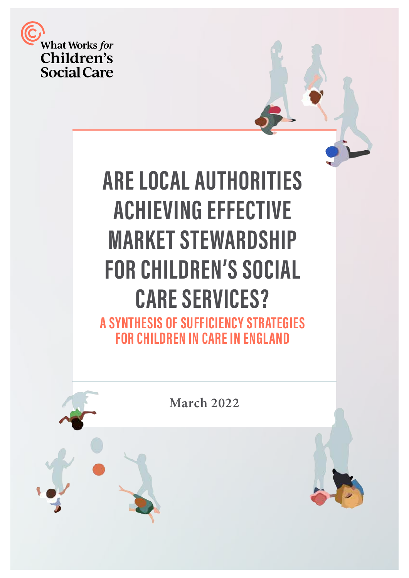

# **ARE LOCAL AUTHORITIES ACHIEVING EFFECTIVE MARKET STEWARDSHIP FOR CHILDREN'S SOCIAL CARE SERVICES? A SYNTHESIS OF SUFFICIENCY STRATEGIES**

**FOR CHILDREN IN CARE IN ENGLAND** 

**March 2022**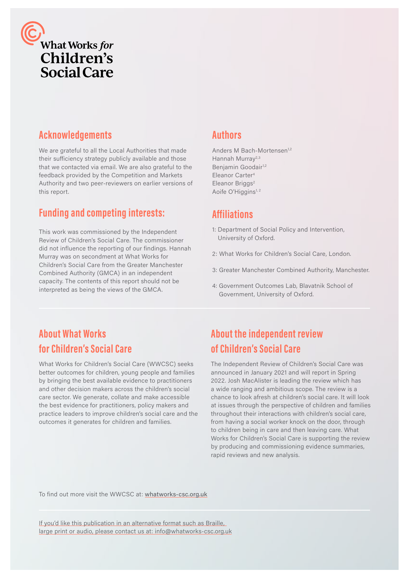

## **Acknowledgements**

We are grateful to all the Local Authorities that made their sufficiency strategy publicly available and those that we contacted via email. We are also grateful to the feedback provided by the Competition and Markets Authority and two peer-reviewers on earlier versions of this report.

# **Funding and competing interests:**

This work was commissioned by the Independent Review of Children's Social Care. The commissioner did not influence the reporting of our findings. Hannah Murray was on secondment at What Works for Children's Social Care from the Greater Manchester Combined Authority (GMCA) in an independent capacity. The contents of this report should not be interpreted as being the views of the GMCA.

### **Authors**

Anders M Bach-Mortensen<sup>1,2</sup> Hannah Murray<sup>2,3</sup> Benjamin Goodair<sup>1,2</sup> Eleanor Carter<sup>4</sup> Eleanor Briggs<sup>2</sup> Aoife O'Higgins<sup>1, 2</sup>

## **Affiliations**

- 1: Department of Social Policy and Intervention, University of Oxford.
- 2: What Works for Children's Social Care, London.
- 3: Greater Manchester Combined Authority, Manchester.
- 4: Government Outcomes Lab, Blavatnik School of Government, University of Oxford.

# **About What Works for Children's Social Care**

What Works for Children's Social Care (WWCSC) seeks better outcomes for children, young people and families by bringing the best available evidence to practitioners and other decision makers across the children's social care sector. We generate, collate and make accessible the best evidence for practitioners, policy makers and practice leaders to improve children's social care and the outcomes it generates for children and families.

# **About the independent review of Children's Social Care**

The Independent Review of Children's Social Care was announced in January 2021 and will report in Spring 2022. Josh MacAlister is leading the review which has a wide ranging and ambitious scope. The review is a chance to look afresh at children's social care. It will look at issues through the perspective of children and families throughout their interactions with children's social care, from having a social worker knock on the door, through to children being in care and then leaving care. What Works for Children's Social Care is supporting the review by producing and commissioning evidence summaries, rapid reviews and new analysis.

To find out more visit the WWCSC at: [whatworks-csc.org.uk](https://whatworks-csc.org.uk)

If you'd like this publication in an alternative format such as Braille, large print or audio, please contact us at: info@whatworks-csc.org.uk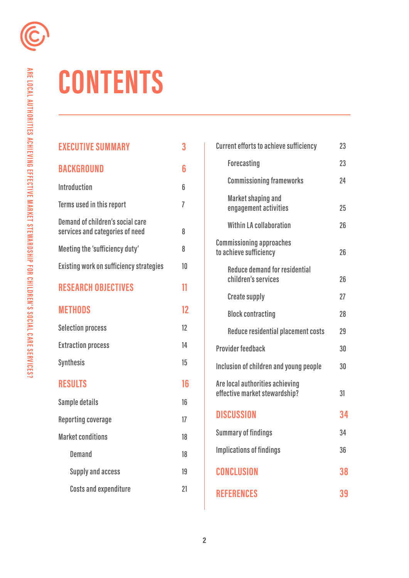# **CONTENTS**

| <b>EXECUTIVE SUMMARY</b>                                            | 3  |
|---------------------------------------------------------------------|----|
| BACKGROUND                                                          | 6  |
| <b>Introduction</b>                                                 | հ  |
| Terms used in this report                                           | 7  |
| Demand of children's social care<br>services and categories of need | 8  |
| Meeting the 'sufficiency duty'                                      | 8  |
| Existing work on sufficiency strategies                             | 10 |
| <b>RESEARCH OBJECTIVES</b>                                          | 11 |
| <b>METHODS</b>                                                      | 12 |
| <b>Selection process</b>                                            | 12 |
| <b>Extraction process</b>                                           | 14 |
| <b>Synthesis</b>                                                    | 15 |
| <b>RESULTS</b>                                                      | 16 |
| Sample details                                                      | 16 |
| <b>Reporting coverage</b>                                           | 17 |
| <b>Market conditions</b>                                            | 18 |
| <b>Demand</b>                                                       | 18 |
| <b>Supply and access</b>                                            | 19 |
| <b>Costs and expenditure</b>                                        | 21 |

| <b>Current efforts to achieve sufficiency</b>                    | 23 |
|------------------------------------------------------------------|----|
| <b>Forecasting</b>                                               | 23 |
| <b>Commissioning frameworks</b>                                  | 24 |
| <b>Market shaping and</b><br>engagement activities               | 25 |
| <b>Within LA collaboration</b>                                   | 26 |
| <b>Commissioning approaches</b><br>to achieve sufficiency        | 26 |
| <b>Reduce demand for residential</b><br>children's services      | 26 |
| <b>Create supply</b>                                             | 27 |
| <b>Block contracting</b>                                         | 28 |
| Reduce residential placement costs                               | 29 |
| <b>Provider feedback</b>                                         | 30 |
| Inclusion of children and young people                           | 30 |
| Are local authorities achieving<br>effective market stewardship? | 31 |
| <b>DISCUSSION</b>                                                | 34 |
| <b>Summary of findings</b>                                       | 34 |
| <b>Implications of findings</b>                                  | 36 |
| <b>CONCLUSION</b>                                                | 38 |
| <b>REFERENCES</b>                                                | 39 |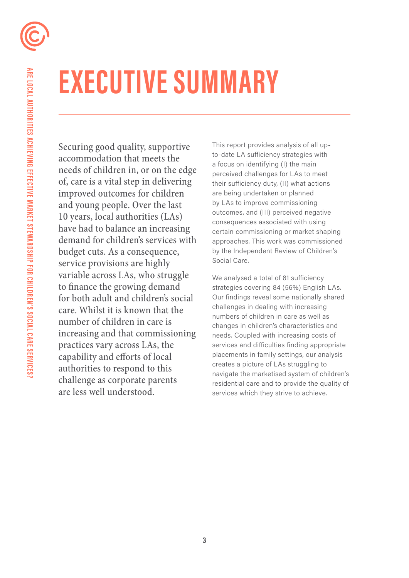# **EXECUTIVE SUMMARY**

Securing good quality, supportive accommodation that meets the needs of children in, or on the edge of, care is a vital step in delivering improved outcomes for children and young people. Over the last 10 years, local authorities (LAs) have had to balance an increasing demand for children's services with budget cuts. As a consequence, service provisions are highly variable across LAs, who struggle to fnance the growing demand for both adult and children's social care. Whilst it is known that the number of children in care is increasing and that commissioning practices vary across LAs, the capability and eforts of local authorities to respond to this challenge as corporate parents are less well understood.

This report provides analysis of all upto-date LA sufficiency strategies with a focus on identifying (I) the main perceived challenges for LAs to meet their sufficiency duty, (II) what actions are being undertaken or planned by LAs to improve commissioning outcomes, and (III) perceived negative consequences associated with using certain commissioning or market shaping approaches. This work was commissioned by the Independent Review of Children's Social Care.

We analysed a total of 81 sufficiency strategies covering 84 (56%) English LAs. Our findings reveal some nationally shared challenges in dealing with increasing numbers of children in care as well as changes in children's characteristics and needs. Coupled with increasing costs of services and difficulties finding appropriate placements in family settings, our analysis creates a picture of LAs struggling to navigate the marketised system of children's residential care and to provide the quality of services which they strive to achieve.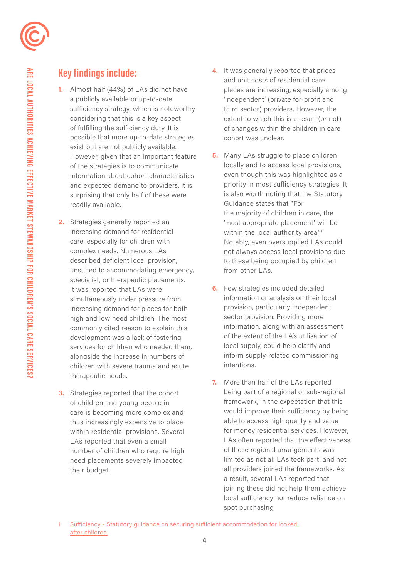

- readily available. **1.** Almost half (44%) of LAs did not have a publicly available or up-to-date sufficiency strategy, which is noteworthy considering that this is a key aspect of fulfilling the sufficiency duty. It is possible that more up-to-date strategies exist but are not publicly available. However, given that an important feature of the strategies is to communicate information about cohort characteristics and expected demand to providers, it is surprising that only half of these were
- **2.** Strategies generally reported an increasing demand for residential care, especially for children with complex needs. Numerous LAs described deficient local provision, unsuited to accommodating emergency, specialist, or therapeutic placements. It was reported that LAs were simultaneously under pressure from increasing demand for places for both high and low need children. The most commonly cited reason to explain this development was a lack of fostering services for children who needed them, alongside the increase in numbers of children with severe trauma and acute therapeutic needs.
- **3.** Strategies reported that the cohort of children and young people in care is becoming more complex and thus increasingly expensive to place within residential provisions. Several LAs reported that even a small number of children who require high need placements severely impacted their budget.
- **4.** It was generally reported that prices and unit costs of residential care places are increasing, especially among 'independent' (private for-profit and third sector) providers. However, the extent to which this is a result (or not) of changes within the children in care cohort was unclear.
- within the local authority area."<sup>1</sup> **5.** Many LAs struggle to place children locally and to access local provisions, even though this was highlighted as a priority in most sufficiency strategies. It is also worth noting that the Statutory Guidance states that "For the majority of children in care, the 'most appropriate placement' will be Notably, even oversupplied LAs could not always access local provisions due to these being occupied by children from other LAs.
- **6.** Few strategies included detailed information or analysis on their local provision, particularly independent sector provision. Providing more information, along with an assessment of the extent of the LA's utilisation of local supply, could help clarify and inform supply-related commissioning intentions.
- **7.** More than half of the LAs reported being part of a regional or sub-regional framework, in the expectation that this would improve their sufficiency by being able to access high quality and value for money residential services. However, LAs often reported that the effectiveness of these regional arrangements was limited as not all LAs took part, and not all providers joined the frameworks. As a result, several LAs reported that joining these did not help them achieve local sufficiency nor reduce reliance on spot purchasing.

[Sufficiency - Statutory guidance on securing sufficient accommodation for looked](https://assets.publishing.service.gov.uk/government/uploads/system/uploads/attachment_data/file/273812/sufficiency_-_statutory_guidance_on_securing_sufficient_accommodation_for_looked_after_children.pdf)  [after children](https://assets.publishing.service.gov.uk/government/uploads/system/uploads/attachment_data/file/273812/sufficiency_-_statutory_guidance_on_securing_sufficient_accommodation_for_looked_after_children.pdf)  1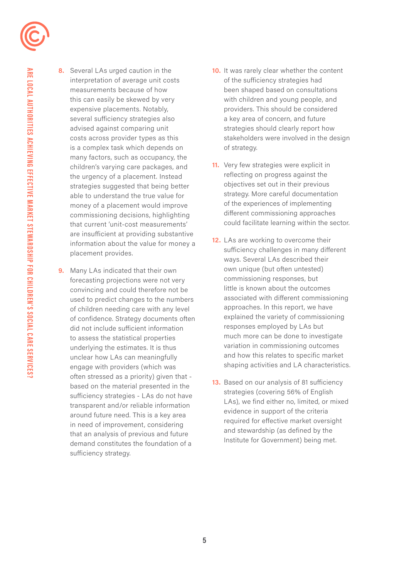**8.** Several LAs urged caution in the interpretation of average unit costs measurements because of how this can easily be skewed by very expensive placements. Notably, several sufficiency strategies also advised against comparing unit costs across provider types as this is a complex task which depends on many factors, such as occupancy, the children's varying care packages, and the urgency of a placement. Instead strategies suggested that being better able to understand the true value for money of a placement would improve commissioning decisions, highlighting that current 'unit-cost measurements' are insufficient at providing substantive information about the value for money a placement provides.

**9.** Many LAs indicated that their own forecasting projections were not very convincing and could therefore not be used to predict changes to the numbers of children needing care with any level of confidence. Strategy documents often did not include sufficient information to assess the statistical properties underlying the estimates. It is thus unclear how LAs can meaningfully engage with providers (which was often stressed as a priority) given that based on the material presented in the sufficiency strategies - LAs do not have transparent and/or reliable information around future need. This is a key area in need of improvement, considering that an analysis of previous and future demand constitutes the foundation of a sufficiency strategy.

- **10.** It was rarely clear whether the content of the sufficiency strategies had been shaped based on consultations with children and young people, and providers. This should be considered a key area of concern, and future strategies should clearly report how stakeholders were involved in the design of strategy.
- **11.** Very few strategies were explicit in reflecting on progress against the objectives set out in their previous strategy. More careful documentation of the experiences of implementing diferent commissioning approaches could facilitate learning within the sector.
- **12.** LAs are working to overcome their sufficiency challenges in many different ways. Several LAs described their own unique (but often untested) commissioning responses, but little is known about the outcomes associated with different commissioning approaches. In this report, we have explained the variety of commissioning responses employed by LAs but much more can be done to investigate variation in commissioning outcomes and how this relates to specific market shaping activities and LA characteristics.
- **13.** Based on our analysis of 81 sufficiency strategies (covering 56% of English LAs), we find either no, limited, or mixed evidence in support of the criteria required for effective market oversight and stewardship (as defined by the Institute for Government) being met.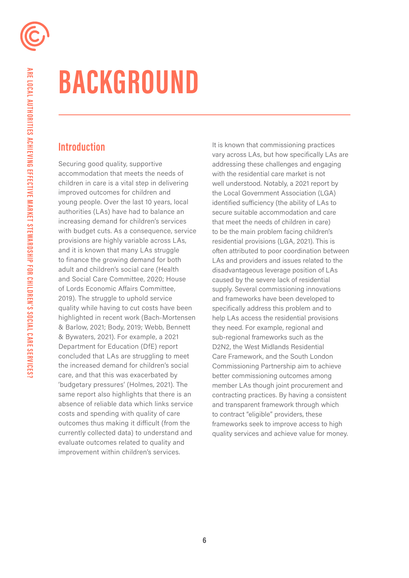# **BACKGROUND**

## **Introduction**

Securing good quality, supportive accommodation that meets the needs of children in care is a vital step in delivering improved outcomes for children and young people. Over the last 10 years, local authorities (LAs) have had to balance an increasing demand for children's services with budget cuts. As a consequence, service provisions are highly variable across LAs, and it is known that many LAs struggle to finance the growing demand for both adult and children's social care (Health and Social Care Committee, 2020; House of Lords Economic Affairs Committee, 2019). The struggle to uphold service quality while having to cut costs have been highlighted in recent work (Bach-Mortensen & Barlow, 2021; Body, 2019; Webb, Bennett & Bywaters, 2021). For example, a 2021 Department for Education (DfE) report concluded that LAs are struggling to meet the increased demand for children's social care, and that this was exacerbated by 'budgetary pressures' (Holmes, 2021). The same report also highlights that there is an absence of reliable data which links service costs and spending with quality of care outcomes thus making it difficult (from the currently collected data) to understand and evaluate outcomes related to quality and improvement within children's services.

It is known that commissioning practices vary across LAs, but how specifically LAs are addressing these challenges and engaging with the residential care market is not well understood. Notably, a 2021 report by the Local Government Association (LGA) identified suficiency (the ability of LAs to secure suitable accommodation and care that meet the needs of children in care) to be the main problem facing children's residential provisions (LGA, 2021). This is often attributed to poor coordination between LAs and providers and issues related to the disadvantageous leverage position of LAs caused by the severe lack of residential supply. Several commissioning innovations and frameworks have been developed to specifically address this problem and to help LAs access the residential provisions they need. For example, regional and sub-regional frameworks such as the D2N2, the West Midlands Residential Care Framework, and the South London Commissioning Partnership aim to achieve better commissioning outcomes among member LAs though joint procurement and contracting practices. By having a consistent and transparent framework through which to contract "eligible" providers, these frameworks seek to improve access to high quality services and achieve value for money.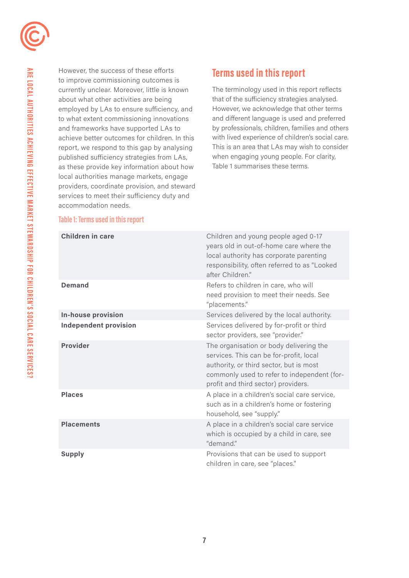

However, the success of these efforts to improve commissioning outcomes is currently unclear. Moreover, little is known about what other activities are being employed by LAs to ensure sufficiency, and to what extent commissioning innovations and frameworks have supported LAs to achieve better outcomes for children. In this report, we respond to this gap by analysing published sufficiency strategies from LAs, as these provide key information about how local authorities manage markets, engage providers, coordinate provision, and steward services to meet their sufficiency duty and accommodation needs.

# **Terms used in this report**

The terminology used in this report reflects that of the suficiency strategies analysed. However, we acknowledge that other terms and diferent language is used and preferred by professionals, children, families and others with lived experience of children's social care. This is an area that LAs may wish to consider when engaging young people. For clarity, Table 1 summarises these terms.

### **Table 1: Terms used in this report**

| <b>Children in care</b>      | Children and young people aged 0-17<br>years old in out-of-home care where the<br>local authority has corporate parenting<br>responsibility, often referred to as "Looked<br>after Children."                       |
|------------------------------|---------------------------------------------------------------------------------------------------------------------------------------------------------------------------------------------------------------------|
| <b>Demand</b>                | Refers to children in care, who will<br>need provision to meet their needs. See<br>"placements."                                                                                                                    |
| <b>In-house provision</b>    | Services delivered by the local authority.                                                                                                                                                                          |
| <b>Independent provision</b> | Services delivered by for-profit or third<br>sector providers, see "provider."                                                                                                                                      |
| <b>Provider</b>              | The organisation or body delivering the<br>services. This can be for-profit, local<br>authority, or third sector, but is most<br>commonly used to refer to independent (for-<br>profit and third sector) providers. |
| <b>Places</b>                | A place in a children's social care service,<br>such as in a children's home or fostering<br>household, see "supply."                                                                                               |
| <b>Placements</b>            | A place in a children's social care service<br>which is occupied by a child in care, see<br>"demand."                                                                                                               |
| <b>Supply</b>                | Provisions that can be used to support<br>children in care, see "places."                                                                                                                                           |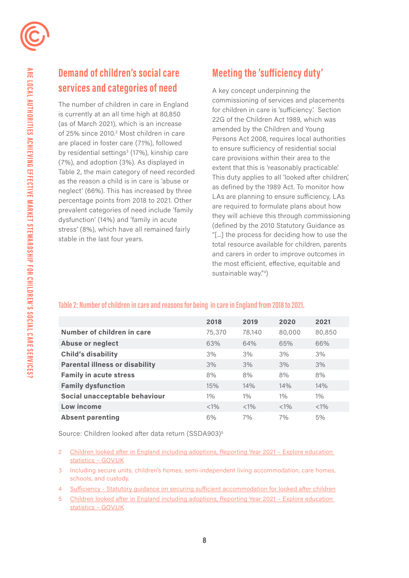# **Demand of children's social care services and categories of need**

stable in the last four years. The number of children in care in England is currently at an all time high at 80,850 (as of March 2021), which is an increase of 25% since 2010.<sup>2</sup> Most children in care are placed in foster care (71%), followed by residential settings<sup>3</sup> (17%), kinship care (7%), and adoption (3%). As displayed in Table 2, the main category of need recorded as the reason a child is in care is 'abuse or neglect' (66%). This has increased by three percentage points from 2018 to 2021. Other prevalent categories of need include 'family dysfunction' (14%) and 'family in acute stress' (8%), which have all remained fairly **Demand of children's social care Meeting the 'sufficiency duty'**<br> **Services and categories of need**<br>
The number of children in care in England commissioning of services and place<br>
(as of March 2021), which is an increas

A key concept underpinning the commissioning of services and placements for children in care is 'suficiency.' Section 22G of the Children Act 1989, which was amended by the Children and Young Persons Act 2008, requires local authorities to ensure suficiency of residential social care provisions within their area to the extent that this is 'reasonably practicable.' This duty applies to all 'looked after children', as defined by the 1989 Act. To monitor how LAs are planning to ensure suficiency, LAs are required to formulate plans about how they will achieve this through commissioning (defined by the 2010 Statutory Guidance as "[...] the process for deciding how to use the total resource available for children, parents and carers in order to improve outcomes in the most eficient, efective, equitable and sustainable way."4)

### **Table 2: Number of children in care and reasons for being in care in England from 2018 to 2021.**

|                                       | 2018    | 2019    | 2020    | 2021    |
|---------------------------------------|---------|---------|---------|---------|
| Number of children in care            | 75,370  | 78,140  | 80,000  | 80,850  |
| <b>Abuse or neglect</b>               | 63%     | 64%     | 65%     | 66%     |
| <b>Child's disability</b>             | 3%      | 3%      | 3%      | 3%      |
| <b>Parental illness or disability</b> | 3%      | 3%      | 3%      | 3%      |
| <b>Family in acute stress</b>         | 8%      | 8%      | 8%      | 8%      |
| <b>Family dysfunction</b>             | 15%     | 14%     | 14%     | 14%     |
| Social unacceptable behaviour         | $1\%$   | $1\%$   | $1\%$   | $1\%$   |
| Low income                            | $< 1\%$ | $< 1\%$ | $< 1\%$ | $< 1\%$ |
| <b>Absent parenting</b>               | 6%      | 7%      | 7%      | 5%      |

Source: Children looked after data return (SSDA903)5

- $\mathcal{P}$ 2 [Children looked after in England including adoptions, Reporting Year 2021 – Explore education](http://Children looked after in England including adoptions, Reporting Year 2021 - Explore education statis)  [statistics – GOV.UK](http://Children looked after in England including adoptions, Reporting Year 2021 - Explore education statis)
- $\overline{3}$ Including secure units, children's homes, semi-independent living accommodation, care homes, schools, and custody.
- 4 [Sufficiency Statutory guidance on securing sufficient accommodation for looked after children](http://Sufficiency  Statutory guidance on securing sufficient accommodation for looked 
after children	)
- $\overline{5}$ 5 [Children looked after in England including adoptions, Reporting Year 2021 – Explore education](https://explore-education-statistics.service.gov.uk/find-statistics/children-looked-after-in-england-including-adoptions/2021#releaseHeadlines-summary)  [statistics – GOV.UK](https://explore-education-statistics.service.gov.uk/find-statistics/children-looked-after-in-england-including-adoptions/2021#releaseHeadlines-summary)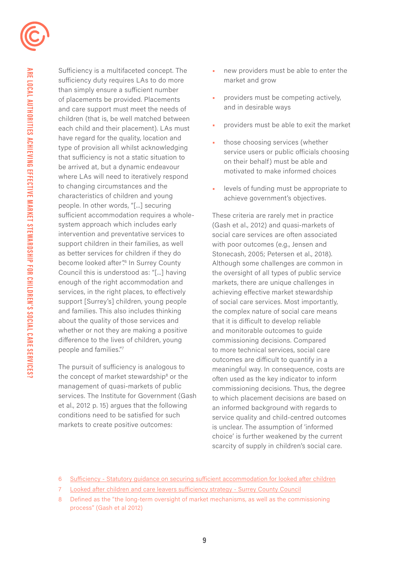Sufficiency is a multifaceted concept. The sufficiency duty requires LAs to do more than simply ensure a sufficient number of placements be provided. Placements and care support must meet the needs of children (that is, be well matched between each child and their placement). LAs must have regard for the quality, location and type of provision all whilst acknowledging that sufficiency is not a static situation to be arrived at, but a dynamic endeavour where LAs will need to iteratively respond to changing circumstances and the characteristics of children and young people. In other words, "[...] securing sufficient accommodation requires a wholesystem approach which includes early intervention and preventative services to support children in their families, as well as better services for children if they do become looked after".<sup>6</sup> In Surrey County Council this is understood as: "[...] having enough of the right accommodation and services, in the right places, to effectively support [Surrey's] children, young people and families. This also includes thinking about the quality of those services and whether or not they are making a positive difference to the lives of children, young people and families."7

The pursuit of sufficiency is analogous to the concept of market stewardship<sup>8</sup> or the management of quasi-markets of public services. The Institute for Government (Gash et al., 2012 p. 15) argues that the following conditions need to be satisfied for such markets to create positive outcomes:

- new providers must be able to enter the market and grow
- providers must be competing actively, and in desirable ways
- providers must be able to exit the market
- those choosing services (whether service users or public officials choosing on their behalf) must be able and motivated to make informed choices
- levels of funding must be appropriate to achieve government's objectives.

These criteria are rarely met in practice (Gash et al., 2012) and quasi-markets of social care services are often associated with poor outcomes (e.g., Jensen and Stonecash, 2005; Petersen et al., 2018). Although some challenges are common in the oversight of all types of public service markets, there are unique challenges in achieving effective market stewardship of social care services. Most importantly, the complex nature of social care means that it is difficult to develop reliable and monitorable outcomes to guide commissioning decisions. Compared to more technical services, social care outcomes are difficult to quantify in a meaningful way. In consequence, costs are often used as the key indicator to inform commissioning decisions. Thus, the degree to which placement decisions are based on an informed background with regards to service quality and child-centred outcomes is unclear. The assumption of 'informed choice' is further weakened by the current scarcity of supply in children's social care.

<sup>6</sup> [Sufficiency - Statutory guidance on securing sufficient accommodation for looked after children](https://assets.publishing.service.gov.uk/government/uploads/system/uploads/attachment_data/file/273812/sufficiency_-_statutory_guidance_on_securing_sufficient_accommodation_for_looked_after_children.pdf) 

[Looked after children and care leavers sufficiency strategy - Surrey County Council](https://www.surreycc.gov.uk/council-and-democracy/departments/children-families-lifelong-learning-and-culture/childrens-commissioning-service/sufficiency-strategy)

<sup>8</sup> Defined as the "the long-term oversight of market mechanisms, as well as the commissioning process" (Gash et al 2012)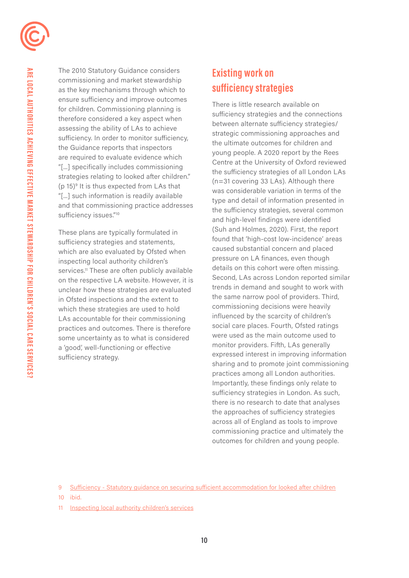

 sufficiency issues."10 The 2010 Statutory Guidance considers commissioning and market stewardship as the key mechanisms through which to ensure sufficiency and improve outcomes for children. Commissioning planning is therefore considered a key aspect when assessing the ability of LAs to achieve sufficiency. In order to monitor sufficiency, the Guidance reports that inspectors are required to evaluate evidence which "[...] specifically includes commissioning strategies relating to looked after children." (p 15)9 It is thus expected from LAs that "[...] such information is readily available and that commissioning practice addresses

 sufficiency strategy. These plans are typically formulated in sufficiency strategies and statements, which are also evaluated by Ofsted when inspecting local authority children's services.<sup>11</sup> These are often publicly available on the respective LA website. However, it is unclear how these strategies are evaluated in Ofsted inspections and the extent to which these strategies are used to hold LAs accountable for their commissioning practices and outcomes. There is therefore some uncertainty as to what is considered a 'good', well-functioning or effective

# **Existing work on sufficiency strategies**

There is little research available on sufficiency strategies and the connections between alternate sufficiency strategies/ strategic commissioning approaches and the ultimate outcomes for children and young people. A 2020 report by the Rees Centre at the University of Oxford reviewed the sufficiency strategies of all London LAs (n=31 covering 33 LAs). Although there was considerable variation in terms of the type and detail of information presented in the sufficiency strategies, several common and high-level findings were identified (Suh and Holmes, 2020). First, the report found that 'high-cost low-incidence' areas caused substantial concern and placed pressure on LA finances, even though details on this cohort were often missing. Second, LAs across London reported similar trends in demand and sought to work with the same narrow pool of providers. Third, commissioning decisions were heavily influenced by the scarcity of children's social care places. Fourth, Ofsted ratings were used as the main outcome used to monitor providers. Fifth, LAs generally expressed interest in improving information sharing and to promote joint commissioning practices among all London authorities. Importantly, these findings only relate to sufficiency strategies in London. As such, there is no research to date that analyses the approaches of sufficiency strategies across all of England as tools to improve commissioning practice and ultimately the outcomes for children and young people.

9 [Sufficiency - Statutory guidance on securing sufficient accommodation for looked after children](https://assets.publishing.service.gov.uk/government/uploads/system/uploads/attachment_data/file/273812/sufficiency_-_statutory_guidance_on_securing_sufficient_accommodation_for_looked_after_children.pdf) 

10 ibid.

11 [Inspecting local authority children's services](https://www.gov.uk/government/publications/inspecting-local-authority-childrens-services-from-2018/inspecting-local-authority-childrens-services#Annex-A)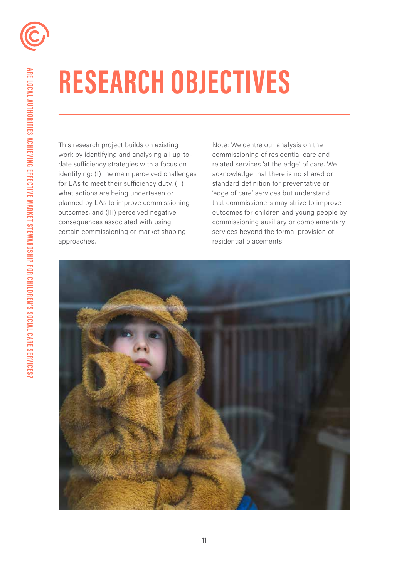# **RESEARCH OBJECTIVES**

This research project builds on existing work by identifying and analysing all up-todate suficiency strategies with a focus on identifying: (I) the main perceived challenges for LAs to meet their suficiency duty, (II) what actions are being undertaken or planned by LAs to improve commissioning outcomes, and (III) perceived negative consequences associated with using certain commissioning or market shaping approaches.

Note: We centre our analysis on the commissioning of residential care and related services 'at the edge' of care. We acknowledge that there is no shared or standard definition for preventative or 'edge of care' services but understand that commissioners may strive to improve outcomes for children and young people by commissioning auxiliary or complementary services beyond the formal provision of residential placements.

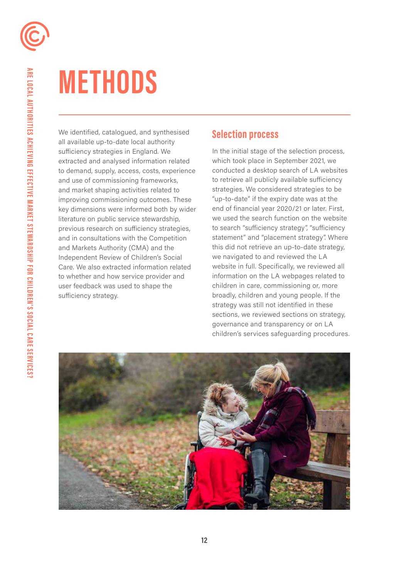# **METHODS**

We identified, catalogued, and synthesised all available up-to-date local authority suficiency strategies in England. We extracted and analysed information related to demand, supply, access, costs, experience and use of commissioning frameworks, and market shaping activities related to improving commissioning outcomes. These key dimensions were informed both by wider literature on public service stewardship, previous research on suficiency strategies, and in consultations with the Competition and Markets Authority (CMA) and the Independent Review of Children's Social Care. We also extracted information related to whether and how service provider and user feedback was used to shape the sufficiency strategy.

## **Selection process**

In the initial stage of the selection process, which took place in September 2021, we conducted a desktop search of LA websites to retrieve all publicly available sufficiency strategies. We considered strategies to be "up-to-date" if the expiry date was at the end of financial year 2020/21 or later. First, we used the search function on the website to search "sufficiency strategy", "sufficiency statement" and "placement strategy". Where this did not retrieve an up-to-date strategy, we navigated to and reviewed the LA website in full. Specifically, we reviewed all information on the LA webpages related to children in care, commissioning or, more broadly, children and young people. If the strategy was still not identified in these sections, we reviewed sections on strategy, governance and transparency or on LA children's services safeguarding procedures.

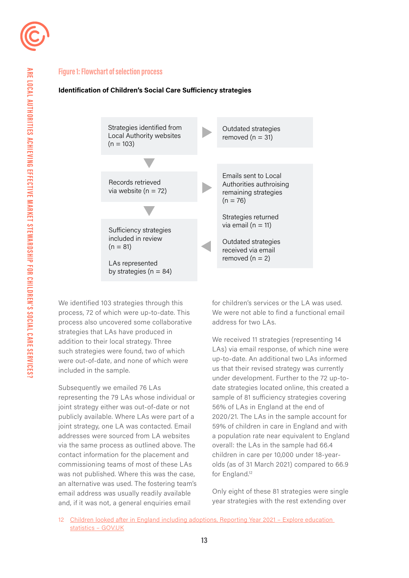

#### **Figure 1: Flowchart of selection process**

#### **Identification of Children's Social Care Sufficiency strategies**



We identified 103 strategies through this process, 72 of which were up-to-date. This process also uncovered some collaborative strategies that LAs have produced in addition to their local strategy. Three such strategies were found, two of which were out-of-date, and none of which were included in the sample.

Subsequently we emailed 76 LAs representing the 79 LAs whose individual or joint strategy either was out-of-date or not publicly available. Where LAs were part of a joint strategy, one LA was contacted. Email addresses were sourced from LA websites via the same process as outlined above. The contact information for the placement and commissioning teams of most of these LAs was not published. Where this was the case, an alternative was used. The fostering team's email address was usually readily available and, if it was not, a general enquiries email

for children's services or the LA was used. We were not able to find a functional email address for two LAs.

We received 11 strategies (representing 14 LAs) via email response, of which nine were up-to-date. An additional two LAs informed us that their revised strategy was currently under development. Further to the 72 up-todate strategies located online, this created a sample of 81 sufficiency strategies covering 56% of LAs in England at the end of 2020/21. The LAs in the sample account for 59% of children in care in England and with a population rate near equivalent to England overall: the LAs in the sample had 66.4 children in care per 10,000 under 18-yearolds (as of 31 March 2021) compared to 66.9 for England.<sup>12</sup>

Only eight of these 81 strategies were single year strategies with the rest extending over

12 [Children looked after in England including adoptions, Reporting Year 2021 – Explore education](https://explore-education-statistics.service.gov.uk/find-statistics/children-looked-after-in-england-including-adoptions/2021#releaseHeadlines-summary)  [statistics – GOV.UK](https://explore-education-statistics.service.gov.uk/find-statistics/children-looked-after-in-england-including-adoptions/2021#releaseHeadlines-summary)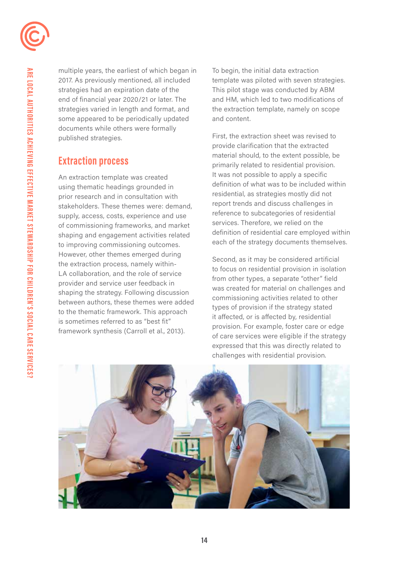

multiple years, the earliest of which began in 2017. As previously mentioned, all included strategies had an expiration date of the end of financial year 2020/21 or later. The strategies varied in length and format, and some appeared to be periodically updated documents while others were formally published strategies.

## **Extraction process**

An extraction template was created using thematic headings grounded in prior research and in consultation with stakeholders. These themes were: demand, supply, access, costs, experience and use of commissioning frameworks, and market shaping and engagement activities related to improving commissioning outcomes. However, other themes emerged during the extraction process, namely within-LA collaboration, and the role of service provider and service user feedback in shaping the strategy. Following discussion between authors, these themes were added to the thematic framework. This approach is sometimes referred to as "best fit" framework synthesis (Carroll et al., 2013).

To begin, the initial data extraction template was piloted with seven strategies. This pilot stage was conducted by ABM and HM, which led to two modifications of the extraction template, namely on scope and content.

First, the extraction sheet was revised to provide clarification that the extracted material should, to the extent possible, be primarily related to residential provision. It was not possible to apply a specific definition of what was to be included within residential, as strategies mostly did not report trends and discuss challenges in reference to subcategories of residential services. Therefore, we relied on the definition of residential care employed within each of the strategy documents themselves.

Second, as it may be considered artificial to focus on residential provision in isolation from other types, a separate "other" field was created for material on challenges and commissioning activities related to other types of provision if the strategy stated it affected, or is affected by, residential provision. For example, foster care or edge of care services were eligible if the strategy expressed that this was directly related to challenges with residential provision.

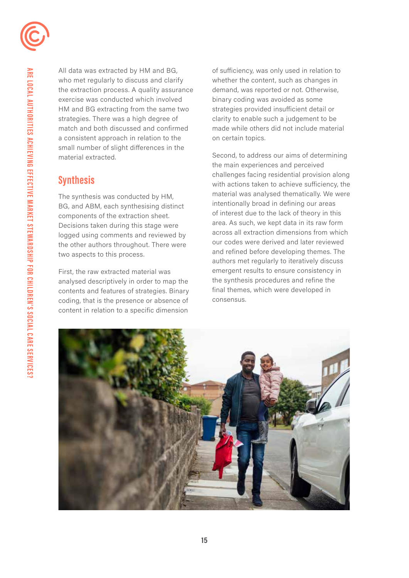

All data was extracted by HM and BG, who met regularly to discuss and clarify the extraction process. A quality assurance exercise was conducted which involved HM and BG extracting from the same two strategies. There was a high degree of match and both discussed and confirmed a consistent approach in relation to the small number of slight differences in the material extracted.

# **Synthesis**

The synthesis was conducted by HM, BG, and ABM, each synthesising distinct components of the extraction sheet. Decisions taken during this stage were logged using comments and reviewed by the other authors throughout. There were two aspects to this process.

First, the raw extracted material was analysed descriptively in order to map the contents and features of strategies. Binary coding, that is the presence or absence of content in relation to a specific dimension

of sufficiency, was only used in relation to whether the content, such as changes in demand, was reported or not. Otherwise, binary coding was avoided as some strategies provided insufficient detail or clarity to enable such a judgement to be made while others did not include material on certain topics.

Second, to address our aims of determining the main experiences and perceived challenges facing residential provision along with actions taken to achieve sufficiency, the material was analysed thematically. We were intentionally broad in defining our areas of interest due to the lack of theory in this area. As such, we kept data in its raw form across all extraction dimensions from which our codes were derived and later reviewed and refined before developing themes. The authors met regularly to iteratively discuss emergent results to ensure consistency in the synthesis procedures and refine the final themes, which were developed in consensus.

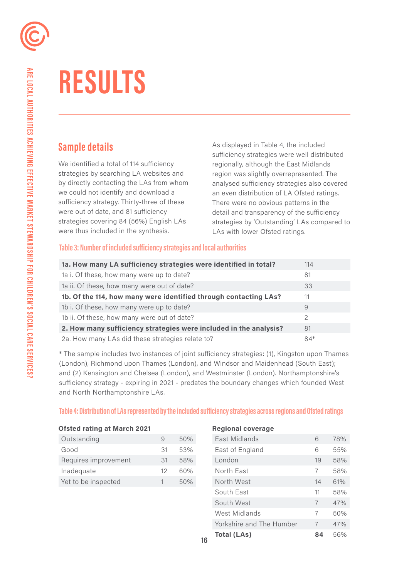

# **RESULTS**

We identified a total of 114 sufficiency regionally, although the East Midlands strategies by searching LA websites and region was slightly overrepresented. The we could not identify and download a an even distribution of LA Ofsted ratings. sufficiency strategy. Thirty-three of these There were no obvious patterns in the were out of date, and 81 sufficiency detail and transparency of the sufficiency were thus included in the synthesis. LAs with lower Ofsted ratings.

**Sample details As displayed in Table 4, the included** sufficiency strategies were well distributed by directly contacting the LAs from whom analysed sufficiency strategies also covered strategies covering 84 (56%) English LAs strategies by 'Outstanding' LAs compared to

#### **Table 3: Number of included suficiency strategies and local authorities**

| 1a. How many LA sufficiency strategies were identified in total?  | 114   |
|-------------------------------------------------------------------|-------|
| 1a i. Of these, how many were up to date?                         | 81    |
| 1a ii. Of these, how many were out of date?                       | 33    |
| 1b. Of the 114, how many were identified through contacting LAs?  | 11    |
| 1b i. Of these, how many were up to date?                         | 9     |
| 1b ii. Of these, how many were out of date?                       | 2     |
| 2. How many sufficiency strategies were included in the analysis? | 81    |
| 2a. How many LAs did these strategies relate to?                  | $84*$ |

\* The sample includes two instances of joint sufficiency strategies: (1), Kingston upon Thames (London), Richmond upon Thames (London), and Windsor and Maidenhead (South East); and (2) Kensington and Chelsea (London), and Westminster (London). Northamptonshire's sufficiency strategy - expiring in 2021 - predates the boundary changes which founded West and North Northamptonshire LAs.

#### **Table 4: Distribution of LAs represented by the included suficiency strategies across regions and Ofsted ratings**

|  | <b>Ofsted rating at March 2021</b> |  |
|--|------------------------------------|--|
|  |                                    |  |

| Outstanding          |     | 50% |
|----------------------|-----|-----|
| Good                 | .31 | 53% |
| Requires improvement | 31  | 58% |
| Inadequate           | 12  | 60% |
| Yet to be inspected  |     | 50% |

#### **Begional coverage**

| Outstanding          | 9  | 50% | East Midlands            | 6              | 78% |
|----------------------|----|-----|--------------------------|----------------|-----|
| Good                 | 31 | 53% | East of England          | 6              | 55% |
| Requires improvement | 31 | 58% | London                   | 19             | 58% |
| Inadequate           | 12 | 60% | North East               | 7              | 58% |
| Yet to be inspected  | 1  | 50% | North West               | 14             | 61% |
|                      |    |     | South East               | 11             | 58% |
|                      |    |     | South West               | $\overline{7}$ | 47% |
|                      |    |     | West Midlands            | 7              | 50% |
|                      |    |     | Yorkshire and The Humber | 7              | 47% |
|                      |    |     | <b>Total (LAs)</b>       | 84             | 56% |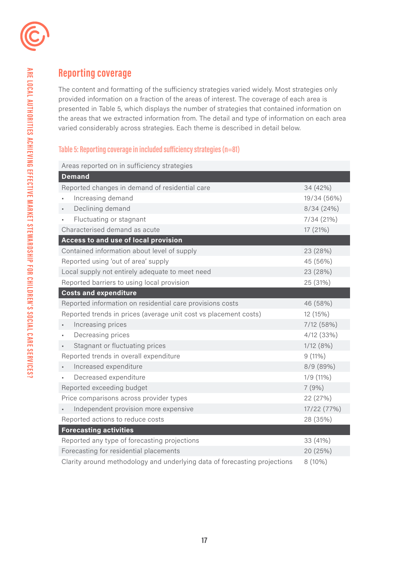

# **Reporting coverage**

The content and formatting of the sufficiency strategies varied widely. Most strategies only provided information on a fraction of the areas of interest. The coverage of each area is presented in Table 5, which displays the number of strategies that contained information on the areas that we extracted information from. The detail and type of information on each area varied considerably across strategies. Each theme is described in detail below.

### **Table 5: Reporting coverage in included suficiency strategies (n=81)**

Areas reported on in sufficiency strategies

| <b>Demand</b>                                                             |             |
|---------------------------------------------------------------------------|-------------|
| Reported changes in demand of residential care                            | 34 (42%)    |
| Increasing demand                                                         | 19/34 (56%) |
| Declining demand                                                          | 8/34(24%)   |
| Fluctuating or stagnant<br>×,                                             | 7/34(21%)   |
| Characterised demand as acute                                             | 17 (21%)    |
| Access to and use of local provision                                      |             |
| Contained information about level of supply                               | 23 (28%)    |
| Reported using 'out of area' supply                                       | 45 (56%)    |
| Local supply not entirely adequate to meet need                           | 23 (28%)    |
| Reported barriers to using local provision                                | 25 (31%)    |
| <b>Costs and expenditure</b>                                              |             |
| Reported information on residential care provisions costs                 | 46 (58%)    |
| Reported trends in prices (average unit cost vs placement costs)          | 12 (15%)    |
| Increasing prices                                                         | 7/12 (58%)  |
| Decreasing prices<br>٠                                                    | 4/12 (33%)  |
| Stagnant or fluctuating prices                                            | 1/12(8%)    |
| Reported trends in overall expenditure                                    | $9(11\%)$   |
| Increased expenditure                                                     | 8/9 (89%)   |
| Decreased expenditure                                                     | 1/9(11%)    |
| Reported exceeding budget                                                 | 7(9%)       |
| Price comparisons across provider types                                   | 22 (27%)    |
| Independent provision more expensive                                      | 17/22 (77%) |
| Reported actions to reduce costs                                          | 28 (35%)    |
| <b>Forecasting activities</b>                                             |             |
| Reported any type of forecasting projections                              | 33 (41%)    |
| Forecasting for residential placements                                    | 20 (25%)    |
| Clarity around methodology and underlying data of forecasting projections | 8 (10%)     |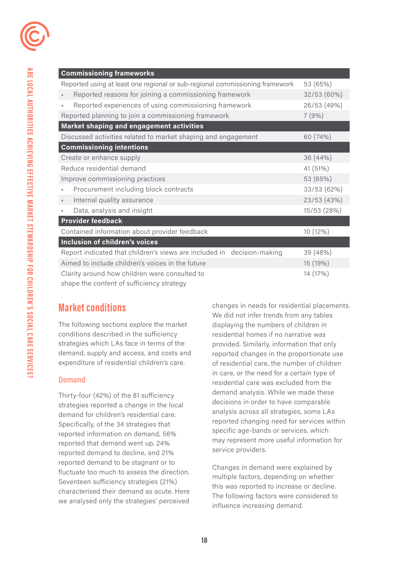| <b>Commissioning frameworks</b>                                              |             |
|------------------------------------------------------------------------------|-------------|
| Reported using at least one regional or sub-regional commissioning framework | 53 (65%)    |
| Reported reasons for joining a commissioning framework                       | 32/53 (60%) |
| Reported experiences of using commissioning framework<br>٠                   | 26/53 (49%) |
| Reported planning to join a commissioning framework                          | 7(9%)       |
| <b>Market shaping and engagement activities</b>                              |             |
| Discussed activities related to market shaping and engagement                | 60 (74%)    |
| <b>Commissioning intentions</b>                                              |             |
| Create or enhance supply                                                     | 36 (44%)    |
| Reduce residential demand                                                    | 41 (51%)    |
| Improve commissioning practices                                              | 53 (65%)    |
| Procurement including block contracts<br>$\blacksquare$                      | 33/53 (62%) |
| Internal quality assurance<br>$\blacksquare$                                 | 23/53 (43%) |
| Data, analysis and insight<br>$\blacksquare$                                 | 15/53 (28%) |
| <b>Provider feedback</b>                                                     |             |
| Contained information about provider feedback                                | 10 (12%)    |
| Inclusion of children's voices                                               |             |
| Report indicated that children's views are included in decision-making       | 39 (48%)    |
| Aimed to include children's voices in the future                             | 15 (19%)    |
| Clarity around how children were consulted to                                | 14 (17%)    |

shape the content of sufficiency strategy

## **Market conditions**

The following sections explore the market conditions described in the sufficiency strategies which LAs face in terms of the demand, supply and access, and costs and expenditure of residential children's care.

#### **Demand**

Thirty-four (42%) of the 81 sufficiency strategies reported a change in the local demand for children's residential care. Specifically, of the 34 strategies that reported information on demand, 56% reported that demand went up, 24% reported demand to decline, and 21% reported demand to be stagnant or to fluctuate too much to assess the direction. Seventeen sufficiency strategies (21%) characterised their demand as acute. Here we analysed only the strategies' perceived

changes in needs for residential placements. We did not infer trends from any tables displaying the numbers of children in residential homes if no narrative was provided. Similarly, information that only reported changes in the proportionate use of residential care, the number of children in care, or the need for a certain type of residential care was excluded from the demand analysis. While we made these decisions in order to have comparable analysis across all strategies, some LAs reported changing need for services within specific age-bands or services, which may represent more useful information for service providers.

Changes in demand were explained by multiple factors, depending on whether this was reported to increase or decline. The following factors were considered to influence increasing demand.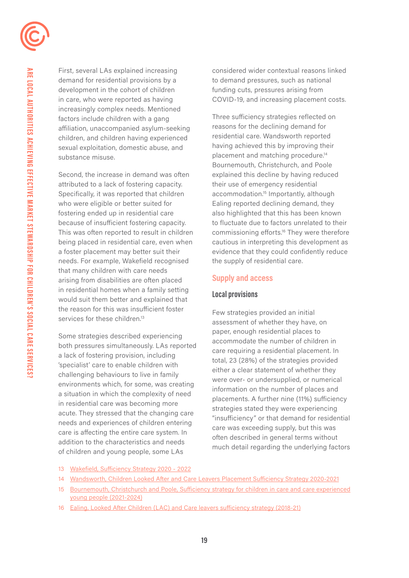

demand for residential provisions by a to demand pressures, such as national development in the cohort of children funding cuts, pressures arising from increasingly complex needs. Mentioned factors include children with a gang Three sufficiency strategies reflected on affiliation, unaccompanied asylum-seeking reasons for the declining demand for children, and children having experienced residential care. Wandsworth reported sexual exploitation, domestic abuse, and having achieved this by improving their substance misuse. placement and matching procedure.<sup>14</sup>

Second, the increase in demand was often explained this decline by having reduced attributed to a lack of fostering capacity. their use of emergency residential Specifically, it was reported that children accommodation.<sup>15</sup> Importantly, although who were eligible or better suited for Ealing reported declining demand, they fostering ended up in residential care also highlighted that this has been known needs. For example, Wakefield recognised the supply of residential care. that many children with care needs arising from disabilities are often placed **Supply and access**  in residential homes when a family setting **Local provisions** would suit them better and explained that the reason for this was insufficient foster Few strategies provided an initial services for these children.<sup>13</sup>

First, several LAs explained increasing considered wider contextual reasons linked in care, who were reported as having COVID-19, and increasing placement costs.

Bournemouth, Christchurch, and Poole because of insufficient fostering capacity. to fluctuate due to factors unrelated to their This was often reported to result in children commissioning efforts.<sup>16</sup> They were therefore being placed in residential care, even when cautious in interpreting this development as a foster placement may better suit their evidence that they could confidently reduce

assessment of whether they have, on Some strategies described experiencing<br>
both pressures simultaneously. LAs reported<br>
a lack of fostering provision, including<br>
a lack of fostering provision, including<br>
specialist' care to enable children with<br>
challenging

- 13 [Wakefield, Sufficiency Strategy 2020 2022](https://www.wakefield.gov.uk/Documents/schools-children/fostering/sufficiency-strategy.pdf)
- 14 [Wandsworth, Children Looked After and Care Leavers Placement Sufficiency Strategy 2020-2021](http://placement-sufficiency-strategy-2019-22_v10-002)
- 15 [Bournemouth, Christchurch and Poole, Sufficiency strategy for children in care and care experienced](https://democracy.bcpcouncil.gov.uk/documents/s26484/Enc.%201%20for%20Sufficiency%20Strategy.pdf) [young people \(2021-2024\)](https://democracy.bcpcouncil.gov.uk/documents/s26484/Enc.%201%20for%20Sufficiency%20Strategy.pdf)
- 16 [Ealing, Looked After Children \(LAC\) and Care leavers sufficiency strategy \(2018-21\)](https://www.ealing.gov.uk/downloads/file/14494/looked_after_children_lac_and_care_leavers_sufficiency_strategy_2018-21)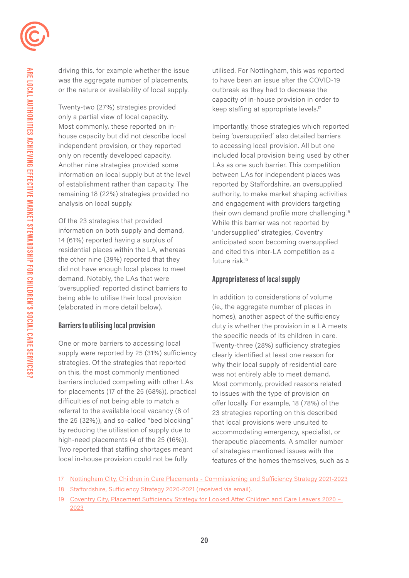driving this, for example whether the issue was the aggregate number of placements, or the nature or availability of local supply.

Twenty-two (27%) strategies provided only a partial view of local capacity. Most commonly, these reported on inhouse capacity but did not describe local independent provision, or they reported only on recently developed capacity. Another nine strategies provided some information on local supply but at the level of establishment rather than capacity. The remaining 18 (22%) strategies provided no analysis on local supply.

Of the 23 strategies that provided information on both supply and demand, 14 (61%) reported having a surplus of residential places within the LA, whereas the other nine (39%) reported that they did not have enough local places to meet demand. Notably, the LAs that were 'oversupplied' reported distinct barriers to being able to utilise their local provision (elaborated in more detail below).

#### **Barriers to utilising local provision**

One or more barriers to accessing local supply were reported by 25 (31%) sufficiency strategies. Of the strategies that reported on this, the most commonly mentioned barriers included competing with other LAs for placements (17 of the 25 (68%)), practical difficulties of not being able to match a referral to the available local vacancy (8 of the 25 (32%)), and so-called "bed blocking" by reducing the utilisation of supply due to high-need placements (4 of the 25 (16%)). Two reported that staffing shortages meant local in-house provision could not be fully

utilised. For Nottingham, this was reported to have been an issue after the COVID-19 outbreak as they had to decrease the capacity of in-house provision in order to keep staffing at appropriate levels.<sup>17</sup>

 their own demand profile more [challenging.18](https://challenging.18)  Importantly, those strategies which reported being 'oversupplied' also detailed barriers to accessing local provision. All but one included local provision being used by other LAs as one such barrier. This competition between LAs for independent places was reported by Staffordshire, an oversupplied authority, to make market shaping activities and engagement with providers targeting While this barrier was not reported by 'undersupplied' strategies, Coventry anticipated soon becoming oversupplied and cited this inter-LA competition as a future risk.<sup>19</sup>

#### **Appropriateness of local supply**

In addition to considerations of volume (ie., the aggregate number of places in homes), another aspect of the sufficiency duty is whether the provision in a LA meets the specific needs of its children in care. Twenty-three (28%) sufficiency strategies clearly identified at least one reason for why their local supply of residential care was not entirely able to meet demand. Most commonly, provided reasons related to issues with the type of provision on offer locally. For example, 18 (78%) of the 23 strategies reporting on this described that local provisions were unsuited to accommodating emergency, specialist, or therapeutic placements. A smaller number of strategies mentioned issues with the features of the homes themselves, such as a

- 18 Staffordshire, Sufficiency Strategy 2020-2021 (received via email).
- 19 Coventry City, Placement Sufficiency Strategy for Looked After Children and Care Leavers 2020 -[2023](https://www.coventry.gov.uk/downloads/file/36302/placement_sufficiency_strategy_for_looked_after_)

<sup>17</sup> [Nottingham City, Children in Care Placements - Commissioning and Sufficiency Strategy 2021-2023](https://www.nottinghamcity.gov.uk/media/3371350/cic-placements-commissioning-and-sufficiency-strategy-2021-2023.pdf)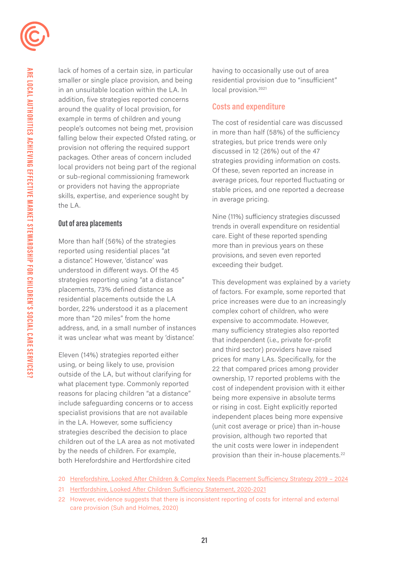

lack of homes of a certain size, in particular smaller or single place provision, and being in an unsuitable location within the LA. In addition, five strategies reported concerns around the quality of local provision, for example in terms of children and young people's outcomes not being met, provision falling below their expected Ofsted rating, or provision not offering the required support packages. Other areas of concern included local providers not being part of the regional or sub-regional commissioning framework or providers not having the appropriate skills, expertise, and experience sought by the LA.

### **Out of area placements**

More than half (56%) of the strategies reported using residential places "at a distance". However, 'distance' was understood in different ways. Of the 45 strategies reporting using "at a distance" placements, 73% defined distance as residential placements outside the LA border, 22% understood it as a placement more than "20 miles" from the home address, and, in a small number of instances it was unclear what was meant by 'distance.'

Eleven (14%) strategies reported either using, or being likely to use, provision outside of the LA, but without clarifying for what placement type. Commonly reported reasons for placing children "at a distance" include safeguarding concerns or to access specialist provisions that are not available in the LA. However, some sufficiency strategies described the decision to place children out of the LA area as not motivated by the needs of children. For example, both Herefordshire and Hertfordshire cited

local provision.<sup>2021</sup> having to occasionally use out of area residential provision due to "insufficient"

### **Costs and expenditure**

The cost of residential care was discussed in more than half (58%) of the sufficiency strategies, but price trends were only discussed in 12 (26%) out of the 47 strategies providing information on costs. Of these, seven reported an increase in average prices, four reported fluctuating or stable prices, and one reported a decrease in average pricing.

Nine (11%) suficiency strategies discussed trends in overall expenditure on residential care. Eight of these reported spending more than in previous years on these provisions, and seven even reported exceeding their budget.

provision than their in-house placements.<sup>22</sup> This development was explained by a variety of factors. For example, some reported that price increases were due to an increasingly complex cohort of children, who were expensive to accommodate. However, many sufficiency strategies also reported that independent (i.e., private for-profit and third sector) providers have raised prices for many LAs. Specifically, for the 22 that compared prices among provider ownership, 17 reported problems with the cost of independent provision with it either being more expensive in absolute terms or rising in cost. Eight explicitly reported independent places being more expensive (unit cost average or price) than in-house provision, although two reported that the unit costs were lower in independent

- 21 [Hertfordshire, Looked After Children Sufficiency Statement, 2020-2021](https://www.hertfordshire.gov.uk/media-library/documents/about-the-council/data-and-information/sufficiency-statement-2020.pdf)
- 22 However, evidence suggests that there is inconsistent reporting of costs for internal and external care provision (Suh and Holmes, 2020)

<sup>20</sup> [Herefordshire, Looked After Children & Complex Needs Placement Sufficiency Strategy 2019 – 2024](https://www.herefordshire.gov.uk/downloads/file/3776/looked_after_children_and_complex_needs_commissioning_and_sufficiency_strategy_2014-2019)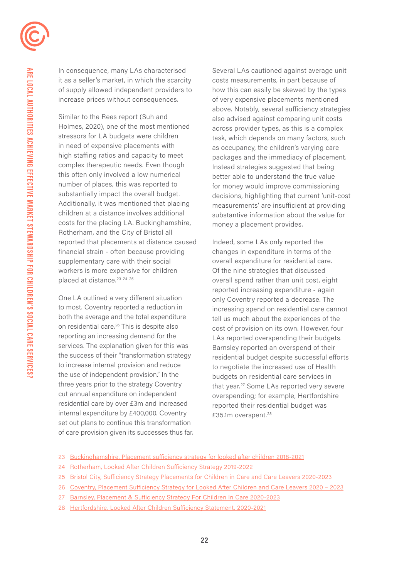In consequence, many LAs characterised it as a seller's market, in which the scarcity of supply allowed independent providers to increase prices without consequences.

placed at distance.<sup>23</sup> <sup>24</sup> <sup>25</sup> Similar to the Rees report (Suh and Holmes, 2020), one of the most mentioned stressors for LA budgets were children in need of expensive placements with high staffing ratios and capacity to meet complex therapeutic needs. Even though this often only involved a low numerical number of places, this was reported to substantially impact the overall budget. Additionally, it was mentioned that placing children at a distance involves additional costs for the placing LA. Buckinghamshire, Rotherham, and the City of Bristol all reported that placements at distance caused financial strain - often because providing supplementary care with their social workers is more expensive for children

One LA outlined a very diferent situation to most. Coventry reported a reduction in both the average and the total expenditure on residential care.26 This is despite also reporting an increasing demand for the services. The explanation given for this was the success of their "transformation strategy to increase internal provision and reduce the use of independent provision." In the three years prior to the strategy Coventry cut annual expenditure on independent residential care by over £3m and increased internal expenditure by £400,000. Coventry set out plans to continue this transformation of care provision given its successes thus far.

Several LAs cautioned against average unit costs measurements, in part because of how this can easily be skewed by the types of very expensive placements mentioned above. Notably, several sufficiency strategies also advised against comparing unit costs across provider types, as this is a complex task, which depends on many factors, such as occupancy, the children's varying care packages and the immediacy of placement. Instead strategies suggested that being better able to understand the true value for money would improve commissioning decisions, highlighting that current 'unit-cost measurements' are insufficient at providing substantive information about the value for money a placement provides.

£35.1m overspent.<sup>28</sup> Indeed, some LAs only reported the changes in expenditure in terms of the overall expenditure for residential care. Of the nine strategies that discussed overall spend rather than unit cost, eight reported increasing expenditure - again only Coventry reported a decrease. The increasing spend on residential care cannot tell us much about the experiences of the cost of provision on its own. However, four LAs reported overspending their budgets. Barnsley reported an overspend of their residential budget despite successful efforts to negotiate the increased use of Health budgets on residential care services in that year.<sup>27</sup> Some LAs reported very severe overspending; for example, Hertfordshire reported their residential budget was

- 23 [Buckinghamshire, Placement sufficiency strategy for looked after children 2018-2021](https://www.buckscc.gov.uk/media/4512824/cla-placement-sufficiency-strategy-nov-2018.pdf)
- 24 [Rotherham, Looked After Children Sufficiency Strategy 2019-2022](https://moderngov.rotherham.gov.uk/documents/s121209/Appendix 1  LAC Sufficiency Strategy.pdf)
- 25 [Bristol City, Sufficiency Strategy Placements for Children in Care and Care Leavers 2020-2023](https://democracy.bristol.gov.uk/documents/s52768/Appendix A Sufficiency Strategy 2020-23.pdf)
- 26 [Coventry, Placement Sufficiency Strategy for Looked After Children and Care Leavers 2020 2023](https://www.coventry.gov.uk/downloads/file/36302/placement_sufficiency_strategy_for_looked_after_)
- 27 Barnsley, Placement & Sufficiency Strategy For Children In Care 2020-2023
- 28 [Hertfordshire, Looked After Children Sufficiency Statement, 2020-2021](https://www.hertfordshire.gov.uk/media-library/documents/about-the-council/data-and-information/sufficiency-statement-2020.pdf)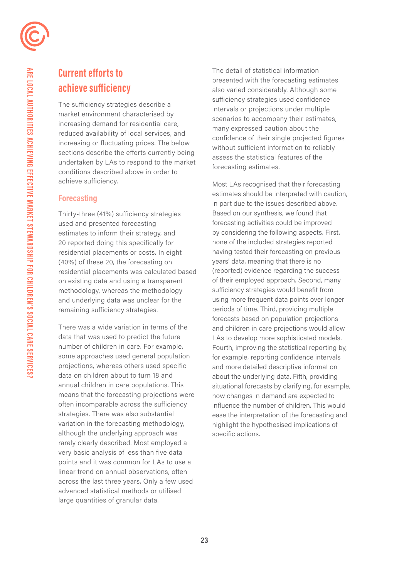# **Current efforts to achieve sufficiency**

 achieve sufficiency. The sufficiency strategies describe a market environment characterised by increasing demand for residential care, reduced availability of local services, and increasing or fluctuating prices. The below sections describe the efforts currently being undertaken by LAs to respond to the market conditions described above in order to

### **Forecasting**

Thirty-three (41%) sufficiency strategies used and presented forecasting estimates to inform their strategy, and 20 reported doing this specifically for residential placements or costs. In eight (40%) of these 20, the forecasting on residential placements was calculated based on existing data and using a transparent methodology, whereas the methodology and underlying data was unclear for the remaining sufficiency strategies.

There was a wide variation in terms of the data that was used to predict the future number of children in care. For example, some approaches used general population projections, whereas others used specific data on children about to turn 18 and annual children in care populations. This means that the forecasting projections were often incomparable across the sufficiency strategies. There was also substantial variation in the forecasting methodology, although the underlying approach was rarely clearly described. Most employed a very basic analysis of less than five data points and it was common for LAs to use a linear trend on annual observations, often across the last three years. Only a few used advanced statistical methods or utilised large quantities of granular data.

forecasting estimates. The detail of statistical information presented with the forecasting estimates also varied considerably. Although some sufficiency strategies used confidence intervals or projections under multiple scenarios to accompany their estimates, many expressed caution about the confidence of their single projected figures without sufficient information to reliably assess the statistical features of the

 specific actions. Most LAs recognised that their forecasting estimates should be interpreted with caution, in part due to the issues described above. Based on our synthesis, we found that forecasting activities could be improved by considering the following aspects. First, none of the included strategies reported having tested their forecasting on previous years' data, meaning that there is no (reported) evidence regarding the success of their employed approach. Second, many suficiency strategies would benefit from using more frequent data points over longer periods of time. Third, providing multiple forecasts based on population projections and children in care projections would allow LAs to develop more sophisticated models. Fourth, improving the statistical reporting by, for example, reporting confidence intervals and more detailed descriptive information about the underlying data. Fifth, providing situational forecasts by clarifying, for example, how changes in demand are expected to influence the number of children. This would ease the interpretation of the forecasting and highlight the hypothesised implications of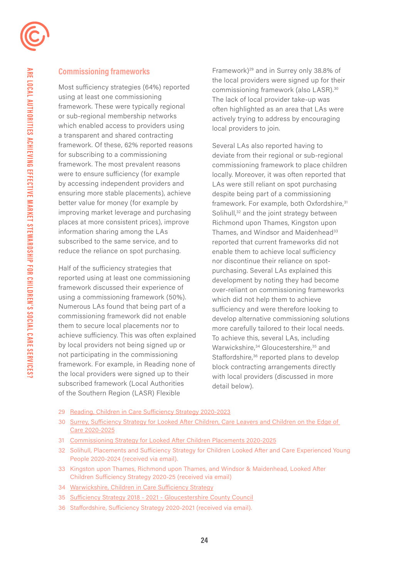

### **Commissioning frameworks**

Most sufficiency strategies (64%) reported using at least one commissioning framework. These were typically regional or sub-regional membership networks which enabled access to providers using a transparent and shared contracting framework. Of these, 62% reported reasons for subscribing to a commissioning framework. The most prevalent reasons were to ensure sufficiency (for example by accessing independent providers and ensuring more stable placements), achieve better value for money (for example by improving market leverage and purchasing places at more consistent prices), improve information sharing among the LAs subscribed to the same service, and to reduce the reliance on spot purchasing.

Half of the sufficiency strategies that reported using at least one commissioning framework discussed their experience of using a commissioning framework (50%). Numerous LAs found that being part of a commissioning framework did not enable them to secure local placements nor to achieve sufficiency. This was often explained by local providers not being signed up or not participating in the commissioning framework. For example, in Reading none of the local providers were signed up to their subscribed framework (Local Authorities of the Southern Region (LASR) Flexible

Framework)29 and in Surrey only 38.8% of the local providers were signed up for their commissioning framework (also [LASR\).30](https://LASR).30)  The lack of local provider take-up was often highlighted as an area that LAs were actively trying to address by encouraging local providers to join.

Several LAs also reported having to deviate from their regional or sub-regional commissioning framework to place children locally. Moreover, it was often reported that LAs were still reliant on spot purchasing despite being part of a commissioning framework. For example, both Oxfordshire,<sup>31</sup> Solihull,<sup>32</sup> and the joint strategy between Richmond upon Thames, Kingston upon Thames, and Windsor and Maidenhead<sup>33</sup> reported that current frameworks did not enable them to achieve local sufficiency nor discontinue their reliance on spotpurchasing. Several LAs explained this development by noting they had become over-reliant on commissioning frameworks which did not help them to achieve sufficiency and were therefore looking to develop alternative commissioning solutions more carefully tailored to their local needs. To achieve this, several LAs, including Warwickshire,<sup>34</sup> Gloucestershire,<sup>35</sup> and Staffordshire,<sup>36</sup> reported plans to develop block contracting arrangements directly with local providers (discussed in more detail below).

- 29 [Reading, Children in Care Sufficiency Strategy 2020-2023](https://brighterfuturesforchildren.org/wp-content/uploads/2020/05/BFfC-Children-in-Care-Sufficiency-Strategy-May-2020.pdf)
- 30 [Surrey, Sufficiency Strategy for Looked After Children, Care Leavers and Children on the Edge of](http://Surrey, Sufficiency Strategy for Looked After Children, Care Leavers and Children on the Edge of Car)  [Care 2020-2025](http://Surrey, Sufficiency Strategy for Looked After Children, Care Leavers and Children on the Edge of Car)
- 31 [Commissioning Strategy for Looked After Children Placements 2020-2025](https://www.oxfordshire.gov.uk/sites/default/files/file/children-and-families/CommissioningStrategyforLookedAfterChildrenPlacements2020-2025.pdf)
- 32 Solihull, Placements and Sufficiency Strategy for Children Looked After and Care Experienced Young People 2020-2024 (received via email).
- 33 Kingston upon Thames, Richmond upon Thames, and Windsor & Maidenhead, Looked After Children Sufficiency Strategy 2020-25 (received via email)
- 34 [Warwickshire, Children in Care Sufficiency Strategy](https://api.warwickshire.gov.uk/documents/WCCC-1642278725-4935)
- 35 [Sufficiency Strategy 2018 2021 Gloucestershire County Council](https://www.gloucestershire.gov.uk/health-and-social-care/children-young-people-and-families/sufficiency-strategy-2018-2021/)
- 36 Staffordshire, Sufficiency Strategy 2020-2021 (received via email).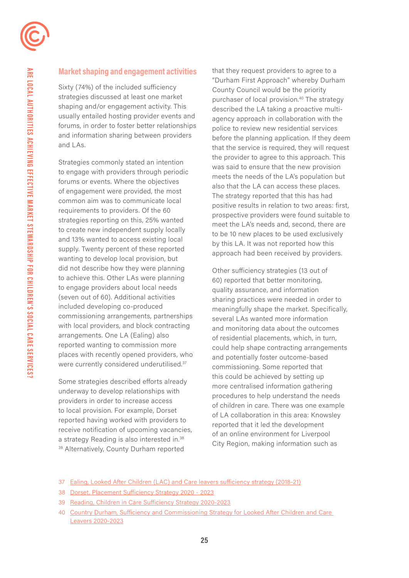

### **Market shaping and engagement activities**

Sixty (74%) of the included sufficiency strategies discussed at least one market shaping and/or engagement activity. This usually entailed hosting provider events and forums, in order to foster better relationships and information sharing between providers and LAs.

Strategies commonly stated an intention to engage with providers through periodic forums or events. Where the objectives of engagement were provided, the most common aim was to communicate local requirements to providers. Of the 60 strategies reporting on this, 25% wanted to create new independent supply locally and 13% wanted to access existing local supply. Twenty percent of these reported wanting to develop local provision, but did not describe how they were planning to achieve this. Other LAs were planning to engage providers about local needs (seven out of 60). Additional activities included developing co-produced commissioning arrangements, partnerships with local providers, and block contracting arrangements. One LA (Ealing) also reported wanting to commission more places with recently opened providers, who were currently considered underutilised.<sup>37</sup>

Some strategies described efforts already underway to develop relationships with providers in order to increase access to local provision. For example, Dorset reported having worked with providers to receive notification of upcoming vacancies, a strategy Reading is also interested in.<sup>38</sup> 39 Alternatively, County Durham reported

that they request providers to agree to a "Durham First Approach" whereby Durham County Council would be the priority purchaser of local provision.<sup>40</sup> The strategy described the LA taking a proactive multiagency approach in collaboration with the police to review new residential services before the planning application. If they deem that the service is required, they will request the provider to agree to this approach. This was said to ensure that the new provision meets the needs of the LA's population but also that the LA can access these places. The strategy reported that this has had positive results in relation to two areas: first, prospective providers were found suitable to meet the LA's needs and, second, there are to be 10 new places to be used exclusively by this LA. It was not reported how this approach had been received by providers.

Other sufficiency strategies (13 out of 60) reported that better monitoring, quality assurance, and information sharing practices were needed in order to meaningfully shape the market. Specifically, several LAs wanted more information and monitoring data about the outcomes of residential placements, which, in turn, could help shape contracting arrangements and potentially foster outcome-based commissioning. Some reported that this could be achieved by setting up more centralised information gathering procedures to help understand the needs of children in care. There was one example of LA collaboration in this area: Knowsley reported that it led the development of an online environment for Liverpool City Region, making information such as

<sup>37</sup> [Ealing, Looked After Children \(LAC\) and Care leavers sufficiency strategy \(2018-21\)](https://www.ealing.gov.uk/downloads/file/14494/looked_after_children_lac_and_care_leavers_sufficiency_strategy_2018-21)

<sup>38</sup> [Dorset, Placement Sufficiency Strategy 2020 - 2023](https://moderngov.dorsetcouncil.gov.uk/documents/s22485/Appendix 1 Placement Sufficiency Strategy 2020 - 2023.pdf)

<sup>39</sup> [Reading, Children in Care Sufficiency Strategy 2020-2023](https://brighterfuturesforchildren.org/wp-content/uploads/2020/05/BFfC-Children-in-Care-Sufficiency-Strategy-May-2020.pdf)

<sup>40</sup> [Country Durham, Sufficiency and Commissioning Strategy for Looked After Children and Care](https://www.durham.gov.uk/media/25778/Sufficiency-and-Commissioning-Strategy-for-Looked-After-Children-and-Care-Leavers/pdf/SufficiencyAndCommissioningStrategyForLACCareLeavers2018-21.pdf?m=636979336501330000)  [Leavers 2020-2023](https://www.durham.gov.uk/media/25778/Sufficiency-and-Commissioning-Strategy-for-Looked-After-Children-and-Care-Leavers/pdf/SufficiencyAndCommissioningStrategyForLACCareLeavers2018-21.pdf?m=636979336501330000)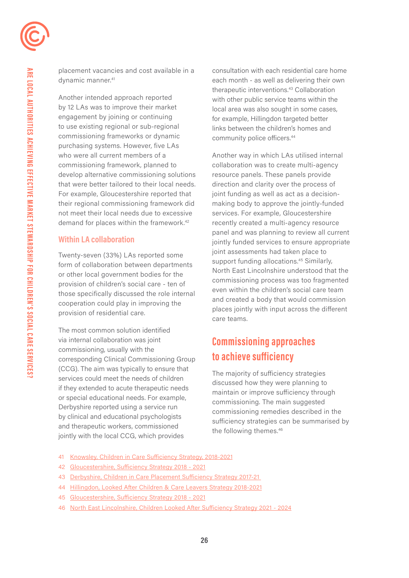placement vacancies and cost available in a dynamic manner.<sup>41</sup>

demand for places within the framework.<sup>42</sup> Another intended approach reported by 12 LAs was to improve their market engagement by joining or continuing to use existing regional or sub-regional commissioning frameworks or dynamic purchasing systems. However, five LAs who were all current members of a commissioning framework, planned to develop alternative commissioning solutions that were better tailored to their local needs. For example, Gloucestershire reported that their regional commissioning framework did not meet their local needs due to excessive

#### **Within LA collaboration**

Twenty-seven (33%) LAs reported some form of collaboration between departments or other local government bodies for the provision of children's social care - ten of those specifically discussed the role internal cooperation could play in improving the provision of residential care.

The most common solution identified via internal collaboration was joint commissioning, usually with the corresponding Clinical Commissioning Group (CCG). The aim was typically to ensure that services could meet the needs of children if they extended to acute therapeutic needs or special educational needs. For example, Derbyshire reported using a service run by clinical and educational psychologists and therapeutic workers, commissioned jointly with the local CCG, which provides

consultation with each residential care home each month - as well as delivering their own therapeutic [interventions.43](https://interventions.43) Collaboration with other public service teams within the local area was also sought in some cases, for example, Hillingdon targeted better links between the children's homes and community police [oficers.44](https://officers.44)

Another way in which LAs utilised internal collaboration was to create multi-agency resource panels. These panels provide direction and clarity over the process of joint funding as well as act as a decisionmaking body to approve the jointly-funded services. For example, Gloucestershire recently created a multi-agency resource panel and was planning to review all current jointly funded services to ensure appropriate joint assessments had taken place to support funding allocations.<sup>45</sup> Similarly, North East Lincolnshire understood that the commissioning process was too fragmented even within the children's social care team and created a body that would commission places jointly with input across the different care teams.

# **Commissioning approaches to achieve sufficiency**

The majority of sufficiency strategies discussed how they were planning to maintain or improve sufficiency through commissioning. The main suggested commissioning remedies described in the sufficiency strategies can be summarised by the following themes.<sup>46</sup>

- 41 [Knowsley, Children in Care Sufficiency Strategy, 2018-2021](https://www.knowsley.gov.uk/residents/care/residential-care-for-children)
- 42 [Gloucestershire, Sufficiency Strategy 2018 2021](https://www.gloucestershire.gov.uk/health-and-social-care/children-young-people-and-families/sufficiency-strategy-2018-2021/)
- 43 [Derbyshire, Children in Care Placement Sufficiency Strategy 2017-21](https://www.derbyshire.gov.uk/site-elements/documents/pdf/social-health/children-and-families/children-we-look-after/providing-sufficient-accommodation-for-children-in-care-and-care-leavers.pdf)
- 44 [Hillingdon, Looked After Children & Care Leavers Strategy 2018-2021](https://isabelsvoice.azurewebsites.net/content/upload/1/root/hillingdon-lac-and-leaving-care-strategy-11-april-2018-to-2021.pdf)
- 45 [Gloucestershire, Sufficiency Strategy 2018 2021](https://www.gloucestershire.gov.uk/health-and-social-care/children-young-people-and-families/sufficiency-strategy-2018-2021/)
- 46 [North East Lincolnshire, Children Looked After Sufficiency Strategy 2021 2024](https://www.nelincs.gov.uk/assets/uploads/2021/04/CLA-Sufficiency-Strategy-2021.pdf)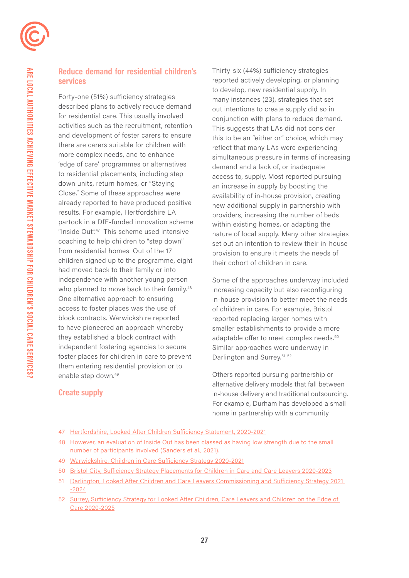### **Reduce demand for residential children's services**

Forty-one (51%) sufficiency strategies described plans to actively reduce demand for residential care. This usually involved activities such as the recruitment, retention and development of foster carers to ensure there are carers suitable for children with more complex needs, and to enhance 'edge of care' programmes or alternatives to residential placements, including step down units, return homes, or "Staying Close." Some of these approaches were already reported to have produced positive results. For example, Hertfordshire LA partook in a DfE-funded innovation scheme "Inside Out".<sup>47</sup> This scheme used intensive coaching to help children to "step down" from residential homes. Out of the 17 children signed up to the programme, eight had moved back to their family or into independence with another young person who planned to move back to their family.<sup>48</sup> One alternative approach to ensuring access to foster places was the use of block contracts. Warwickshire reported to have pioneered an approach whereby they established a block contract with independent fostering agencies to secure foster places for children in care to prevent them entering residential provision or to enable step down.<sup>49</sup>

Thirty-six (44%) sufficiency strategies reported actively developing, or planning to develop, new residential supply. In many instances (23), strategies that set out intentions to create supply did so in conjunction with plans to reduce demand. This suggests that LAs did not consider this to be an "either or" choice, which may reflect that many LAs were experiencing simultaneous pressure in terms of increasing demand and a lack of, or inadequate access to, supply. Most reported pursuing an increase in supply by boosting the availability of in-house provision, creating new additional supply in partnership with providers, increasing the number of beds within existing homes, or adapting the nature of local supply. Many other strategies set out an intention to review their in-house provision to ensure it meets the needs of their cohort of children in care.

Darlington and Surrey.<sup>51 52</sup> Some of the approaches underway included increasing capacity but also reconfiguring in-house provision to better meet the needs of children in care. For example, Bristol reported replacing larger homes with smaller establishments to provide a more adaptable offer to meet complex needs.<sup>50</sup> Similar approaches were underway in

Others reported pursuing partnership or alternative delivery models that fall between in-house delivery and traditional outsourcing. For example, Durham has developed a small home in partnership with a community

### **Create supply**

- 47 [Hertfordshire, Looked After Children Sufficiency Statement, 2020-2021](https://www.hertfordshire.gov.uk/media-library/documents/about-the-council/data-and-information/sufficiency-statement-2020.pdf)
- 48 However, an evaluation of Inside Out has been classed as having low strength due to the small number of participants involved (Sanders et al., 2021).
- 49 [Warwickshire, Children in Care Sufficiency Strategy 2020-2021](https://api.warwickshire.gov.uk/documents/WCCC-1642278725-4935)
- 50 [Bristol City, Sufficiency Strategy Placements for Children in Care and Care Leavers 2020-2023](https://democracy.bristol.gov.uk/documents/s52768/Appendix A Sufficiency Strategy 2020-23.pdf)
- 51 [Darlington, Looked After Children and Care Leavers Commissioning and Sufficiency Strategy 2021](https://democracy.bristol.gov.uk/documents/s52768/Appendix A Sufficiency Strategy 2020-23.pdf)  [-2024](https://democracy.bristol.gov.uk/documents/s52768/Appendix A Sufficiency Strategy 2020-23.pdf)
- 52 [Surrey, Sufficiency Strategy for Looked After Children, Care Leavers and Children on the Edge of](https://www.surreycc.gov.uk/__data/assets/pdf_file/0011/260102/Sufficiency-Strategy-2020-2025-Looked-After-Children-Care-Leavers-Edge-of-Care-v1.6.pdf)  [Care 2020-2025](https://www.surreycc.gov.uk/__data/assets/pdf_file/0011/260102/Sufficiency-Strategy-2020-2025-Looked-After-Children-Care-Leavers-Edge-of-Care-v1.6.pdf)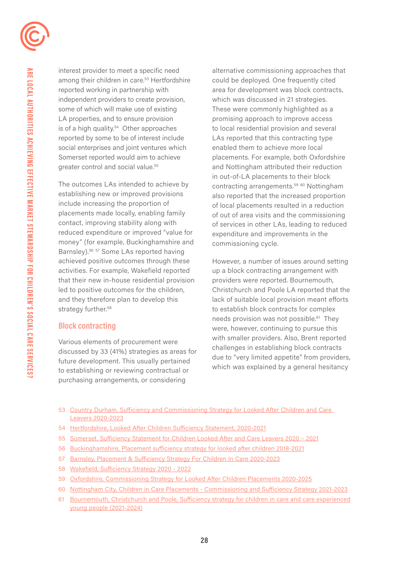

interest provider to meet a specific need among their children in care.<sup>53</sup> Hertfordshire reported working in partnership with independent providers to create provision, some of which will make use of existing LA properties, and to ensure provision is of a high quality.<sup>54</sup> Other approaches reported by some to be of interest include social enterprises and joint ventures which Somerset reported would aim to achieve greater control and social value.<sup>55</sup>

The outcomes LAs intended to achieve by establishing new or improved provisions include increasing the proportion of placements made locally, enabling family contact, improving stability along with reduced expenditure or improved "value for money" (for example, Buckinghamshire and Barnsley).<sup>56 57</sup> Some LAs reported having achieved positive outcomes through these activities. For example, Wakefield reported that their new in-house residential provision led to positive outcomes for the children, and they therefore plan to develop this strategy further.<sup>58</sup>

#### **Block contracting**

Various elements of procurement were discussed by 33 (41%) strategies as areas for future development. This usually pertained to establishing or reviewing contractual or purchasing arrangements, or considering

alternative commissioning approaches that could be deployed. One frequently cited area for development was block contracts, which was discussed in 21 strategies. These were commonly highlighted as a promising approach to improve access to local residential provision and several LAs reported that this contracting type enabled them to achieve more local placements. For example, both Oxfordshire and Nottingham attributed their reduction in out-of-LA placements to their block contracting arrangements.<sup>59 60</sup> Nottingham also reported that the increased proportion of local placements resulted in a reduction of out of area visits and the commissioning of services in other LAs, leading to reduced expenditure and improvements in the commissioning cycle.

However, a number of issues around setting up a block contracting arrangement with providers were reported. Bournemouth, Christchurch and Poole LA reported that the lack of suitable local provision meant efforts to establish block contracts for complex needs provision was not possible.<sup>61</sup> They were, however, continuing to pursue this with smaller providers. Also, Brent reported challenges in establishing block contracts due to "very limited appetite" from providers, which was explained by a general hesitancy

- 53 [Country Durham, Sufficiency and Commissioning Strategy for Looked After Children and Care](https://www.durham.gov.uk/media/25778/Sufficiency-and-Commissioning-Strategy-for-Looked-After-Children-and-Care-Leavers/pdf/SufficiencyAndCommissioningStrategyForLACCareLeavers2018-21.pdf?m=636979336501330000)  [Leavers 2020-2023](https://www.durham.gov.uk/media/25778/Sufficiency-and-Commissioning-Strategy-for-Looked-After-Children-and-Care-Leavers/pdf/SufficiencyAndCommissioningStrategyForLACCareLeavers2018-21.pdf?m=636979336501330000)
- 54 [Hertfordshire, Looked After Children Sufficiency Statement, 2020-2021](https://www.hertfordshire.gov.uk/media-library/documents/about-the-council/data-and-information/sufficiency-statement-2020.pdf)
- 55 [Somerset, Sufficiency Statement for Children Looked After and Care Leavers 2020 2021](https://www.somerset.gov.uk/social-care-and-health/children-in-care/#Sufficiency-Statement-for-Children-Looked-After-and-Care-Leavers-2020-%E2%80%93-2021)
- 56 [Buckinghamshire, Placement sufficiency strategy for looked after children 2018-2021](https://www.buckscc.gov.uk/media/4512824/cla-placement-sufficiency-strategy-nov-2018.pdf)
- 57 [Barnsley, Placement & Sufficiency Strategy For Children In Care 2020-2023](https://www.proceduresonline.com/barnsley/cs/files/sufficiency_strategy.pdf)
- 58 [Wakefield, Sufficiency Strategy 2020 2022](https://www.wakefield.gov.uk/Documents/schools-children/fostering/sufficiency-strategy.pdf)
- 59 [Oxfordshire, Commissioning Strategy for Looked After Children Placements 2020-2025](https://www.oxfordshire.gov.uk/sites/default/files/file/children-and-families/CommissioningStrategyforLookedAfterChildrenPlacements2020-2025.pdf)
- 60 [Nottingham City, Children in Care Placements Commissioning and Sufficiency Strategy 2021-2023](https://www.nottinghamcity.gov.uk/media/3371350/cic-placements-commissioning-and-sufficiency-strategy-2021-2023.pdf)
- 61 [Bournemouth, Christchurch and Poole, Sufficiency strategy for children in care and care experienced](https://democracy.bcpcouncil.gov.uk/documents/s26484/Enc. 1 for Sufficiency Strategy.pdf) [young people \(2021-2024\)](https://democracy.bcpcouncil.gov.uk/documents/s26484/Enc. 1 for Sufficiency Strategy.pdf)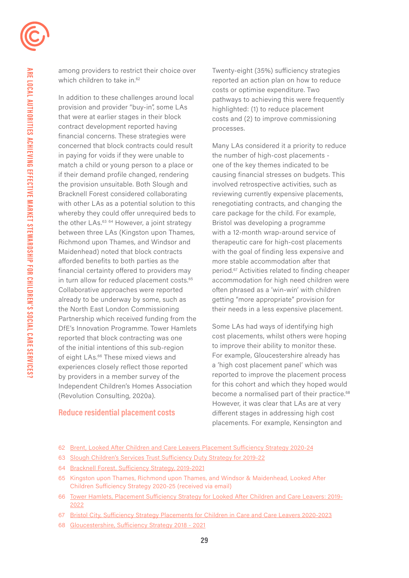which children to take in.<sup>62</sup> among providers to restrict their choice over

in turn allow for reduced placement costs.<sup>65</sup> In addition to these challenges around local provision and provider "buy-in", some LAs that were at earlier stages in their block contract development reported having financial concerns. These strategies were concerned that block contracts could result in paying for voids if they were unable to match a child or young person to a place or if their demand profile changed, rendering the provision unsuitable. Both Slough and Bracknell Forest considered collaborating with other LAs as a potential solution to this whereby they could offer unrequired beds to the other LAs.<sup>63 64</sup> However, a joint strategy between three LAs (Kingston upon Thames, Richmond upon Thames, and Windsor and Maidenhead) noted that block contracts afforded benefits to both parties as the financial certainty offered to providers may Collaborative approaches were reported already to be underway by some, such as the North East London Commissioning Partnership which received funding from the DfE's Innovation Programme. Tower Hamlets reported that block contracting was one of the initial intentions of this sub-region of eight LAs.<sup>66</sup> These mixed views and experiences closely reflect those reported by providers in a member survey of the Independent Children's Homes Association (Revolution Consulting, 2020a).

Twenty-eight (35%) sufficiency strategies reported an action plan on how to reduce costs or optimise expenditure. Two pathways to achieving this were frequently highlighted: (1) to reduce placement costs and (2) to improve commissioning processes.

Many LAs considered it a priority to reduce the number of high-cost placements one of the key themes indicated to be causing financial stresses on budgets. This involved retrospective activities, such as reviewing currently expensive placements, renegotiating contracts, and changing the care package for the child. For example, Bristol was developing a programme with a 12-month wrap-around service of therapeutic care for high-cost placements with the goal of finding less expensive and more stable accommodation after that [period.67](https://period.67) Activities related to finding cheaper accommodation for high need children were often phrased as a 'win-win' with children getting "more appropriate" provision for their needs in a less expensive placement.

become a normalised part of their practice.<sup>68</sup> Some LAs had ways of identifying high cost placements, whilst others were hoping to improve their ability to monitor these. For example, Gloucestershire already has a 'high cost placement panel' which was reported to improve the placement process for this cohort and which they hoped would However, it was clear that LAs are at very different stages in addressing high cost placements. For example, Kensington and

#### **Reduce residential placement costs**

- 62 [Brent, Looked After Children and Care Leavers Placement Sufficiency Strategy 2020-24](https://www.brent.gov.uk/media/16416652/lac-and-cls-placement-sufficiency-strategy-2020-24.pdf)
- 63 [Slough Children's Services Trust Sufficiency Duty Strategy for 2019-22](https://www.sloughchildrenfirst.co.uk/wp-content/uploads/Sufficiency-Duty-Strategy-for-2019-22.pdf)
- 64 [Bracknell Forest, Sufficiency Strategy, 2019-2021](https://www.bracknell-forest.gov.uk/sites/default/files/documents/cla-sufficiency-strategy-children-looked-after-and-care-leavers.pdf)
- 65 Kingston upon Thames, Richmond upon Thames, and Windsor & Maidenhead, Looked After Children Sufficiency Strategy 2020-25 (received via email)
- 66 [Tower Hamlets, Placement Sufficiency Strategy for Looked After Children and Care Leavers: 2019-](https://www.proceduresonline.com/towerhamlets/cs/files/sufficiency_strategy.pdf) [2022](https://www.proceduresonline.com/towerhamlets/cs/files/sufficiency_strategy.pdf)
- 67 [Bristol City, Sufficiency Strategy Placements for Children in Care and Care Leavers 2020-2023](https://democracy.bristol.gov.uk/documents/s52768/Appendix A Sufficiency Strategy 2020-23.pdf)
- 68 [Gloucestershire, Sufficiency Strategy 2018 2021](https://www.gloucestershire.gov.uk/health-and-social-care/children-young-people-and-families/sufficiency-strategy-2018-2021/)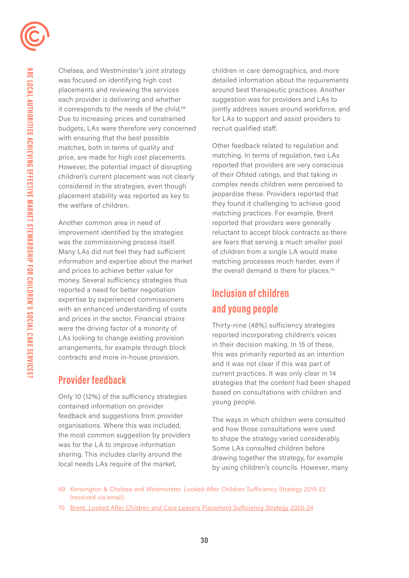placements and reviewing the services around best therapeutic practices. Another each provider is delivering and whether suggestion was for providers and LAs to Due to increasing prices and constrained for LAs to support and assist providers to budgets, LAs were therefore very concerned recruit qualified staff. with ensuring that the best possible matches, both in terms of quality and<br>
price are made for high cost placements matching. In terms of regulation, two LAs price, are made for high cost placements. matching. In terms of regulation, two LAs<br>However the potential impact of disrupting reported that providers are very conscious However, the potential impact of disrupting children's current placement was not clearly of their Ofsted ratings, and that taking in considered in the strategies, even though complex needs children were perceived to<br>placement stability was reported as key to report is equal to report that placement stability was reported as key to the welfare of children. they found it challenging to achieve good

Another common area in need of reported that providers were generally was the commissioning process itself. are fears that serving a much smaller pool Many LAs did not feel they had sufficient of children from a single LA would make information and expertise about the market matching processes much harder, even if and prices to achieve better value for the overall demand is there for places.<sup>70</sup> money. Several sufficiency strategies thus reported a need for better negotiation expertise by experienced commissioners **Inclusion of children**  with an enhanced understanding of costs **and young people** 

feedback and suggestions from provider<br>
organisations. Where this was included,<br>
the ways in which children were consulted<br>
and how those consultations were used<br>
the other the state were deconsiderably the most common suggestion by providers to shape the strategy varied considerably.<br>was for the LA to improve information<br>sharing. This includes clarity around the<br>description before the strategy for example

Chelsea, and Westminster's joint strategy children in care demographics, and more was focused on identifying high cost detailed information about the requirements it corresponds to the needs of the child.<sup>69</sup> jointly address issues around workforce, and

matching practices. For example, Brent improvement identified by the strategies reluctant to accept block contracts as there

and prices in the sector. Financial strains<br>were the driving factor of a minority of<br>LAs looking to change existing provision<br>arrangements, for example through block<br>contracts and more in-house provision.<br>and it was not cl current practices. It was only clear in 14 **Provider feedback** strategies that the content had been shaped Only 10 (12%) of the sufficiency strategies based on consultations with children and<br>contained information on provider young people.

sharing. This includes clarity around the drawing together the strategy, for example<br>local needs LAs require of the market, by using children's councils. However, many

- 69 Kensington & Chelsea and Westminster, Looked After Children Sufficiency Strategy 2019-22 (received via email)
- 70 [Brent, Looked After Children and Care Leavers Placement Sufficiency Strategy 2020-24](https://www.brent.gov.uk/media/16416652/lac-and-cls-placement-sufficiency-strategy-2020-24.pdf)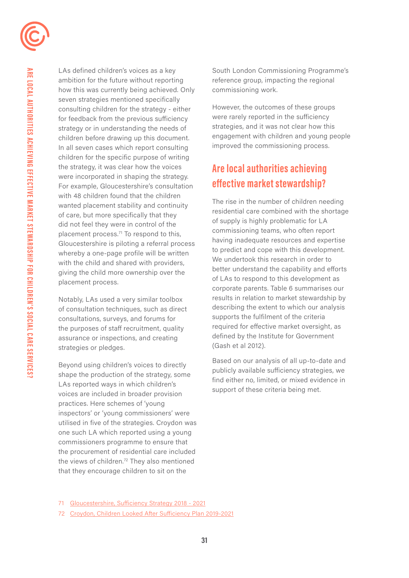LAs defined children's voices as a key ambition for the future without reporting how this was currently being achieved. Only seven strategies mentioned specifically consulting children for the strategy - either for feedback from the previous sufficiency strategy or in understanding the needs of children before drawing up this document. In all seven cases which report consulting children for the specific purpose of writing the strategy, it was clear how the voices were incorporated in shaping the strategy. For example, Gloucestershire's consultation with 48 children found that the children wanted placement stability and continuity of care, but more specifically that they did not feel they were in control of the placement process.<sup>71</sup> To respond to this, Gloucestershire is piloting a referral process whereby a one-page profile will be written with the child and shared with providers, giving the child more ownership over the placement process.

Notably, LAs used a very similar toolbox of consultation techniques, such as direct consultations, surveys, and forums for the purposes of staff recruitment, quality assurance or inspections, and creating strategies or pledges.

Beyond using children's voices to directly shape the production of the strategy, some LAs reported ways in which children's voices are included in broader provision practices. Here schemes of 'young inspectors' or 'young commissioners' were utilised in five of the strategies. Croydon was one such LA which reported using a young commissioners programme to ensure that the procurement of residential care included the views of children.<sup>72</sup> They also mentioned that they encourage children to sit on the

South London Commissioning Programme's reference group, impacting the regional commissioning work.

However, the outcomes of these groups were rarely reported in the sufficiency strategies, and it was not clear how this engagement with children and young people improved the commissioning process.

# **Are local authorities achieving effective market stewardship?**

The rise in the number of children needing residential care combined with the shortage of supply is highly problematic for LA commissioning teams, who often report having inadequate resources and expertise to predict and cope with this development. We undertook this research in order to better understand the capability and efforts of LAs to respond to this development as corporate parents. Table 6 summarises our results in relation to market stewardship by describing the extent to which our analysis supports the fulfilment of the criteria required for effective market oversight, as defined by the Institute for Government (Gash et al 2012).

 support of these criteria being met. Based on our analysis of all up-to-date and publicly available sufficiency strategies, we find either no, limited, or mixed evidence in

<sup>71</sup> [Gloucestershire, Sufficiency Strategy 2018 - 2021](https://www.gloucestershire.gov.uk/health-and-social-care/children-young-people-and-families/sufficiency-strategy-2018-2021/)

<sup>72</sup> [Croydon, Children Looked After Sufficiency Plan 2019-2021](https://www.croydon.gov.uk/sites/default/files/Children social care/Care leavers/CLA Sufficiency Plan 2019-2021.pdf)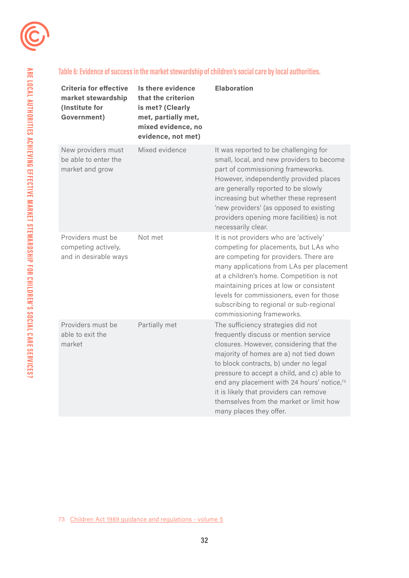

### **Table 6: Evidence of success in the market stewardship of children's social care by local authorities.**

| <b>Criteria for effective</b><br>market stewardship<br>(Institute for<br>Government) | Is there evidence<br>that the criterion<br>is met? (Clearly<br>met, partially met,<br>mixed evidence, no<br>evidence, not met) | <b>Elaboration</b>                                                                                                                                                                                                                                                                                                                                                                                                    |
|--------------------------------------------------------------------------------------|--------------------------------------------------------------------------------------------------------------------------------|-----------------------------------------------------------------------------------------------------------------------------------------------------------------------------------------------------------------------------------------------------------------------------------------------------------------------------------------------------------------------------------------------------------------------|
| New providers must<br>be able to enter the<br>market and grow                        | Mixed evidence                                                                                                                 | It was reported to be challenging for<br>small, local, and new providers to become<br>part of commissioning frameworks.<br>However, independently provided places<br>are generally reported to be slowly<br>increasing but whether these represent<br>'new providers' (as opposed to existing<br>providers opening more facilities) is not<br>necessarily clear.                                                      |
| Providers must be<br>competing actively,<br>and in desirable ways                    | Not met                                                                                                                        | It is not providers who are 'actively'<br>competing for placements, but LAs who<br>are competing for providers. There are<br>many applications from LAs per placement<br>at a children's home. Competition is not<br>maintaining prices at low or consistent<br>levels for commissioners, even for those<br>subscribing to regional or sub-regional<br>commissioning frameworks.                                      |
| Providers must be<br>able to exit the<br>market                                      | Partially met                                                                                                                  | The sufficiency strategies did not<br>frequently discuss or mention service<br>closures. However, considering that the<br>majority of homes are a) not tied down<br>to block contracts, b) under no legal<br>pressure to accept a child, and c) able to<br>end any placement with 24 hours' notice,73<br>it is likely that providers can remove<br>themselves from the market or limit how<br>many places they offer. |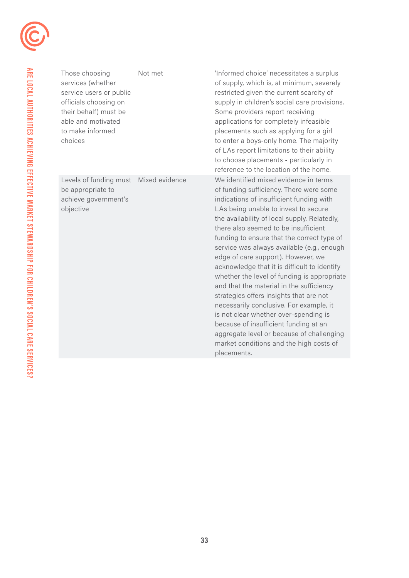

be appropriate to **be appropriate** to of funding sufficiency. There were some achieve government's indications of insufficient funding with objective LAs being unable to invest to secure

Those choosing Not met 'Informed choice' necessitates a surplus services (whether of supply, which is, at minimum, severely service users or public restricted given the current scarcity of officials choosing on supply in children's social care provisions. their behalf) must be Some providers report receiving able and motivated applications for completely infeasible to make informed **placements** such as applying for a girl choices to enter a boys-only home. The majority of LAs report limitations to their ability to choose placements - particularly in reference to the location of the home. Levels of funding must Mixed evidence We identified mixed evidence in terms the availability of local supply. Relatedly, there also seemed to be insufficient funding to ensure that the correct type of service was always available (e.g., enough edge of care support). However, we acknowledge that it is difficult to identify whether the level of funding is appropriate and that the material in the sufficiency strategies offers insights that are not necessarily conclusive. For example, it is not clear whether over-spending is because of insufficient funding at an aggregate level or because of challenging market conditions and the high costs of placements.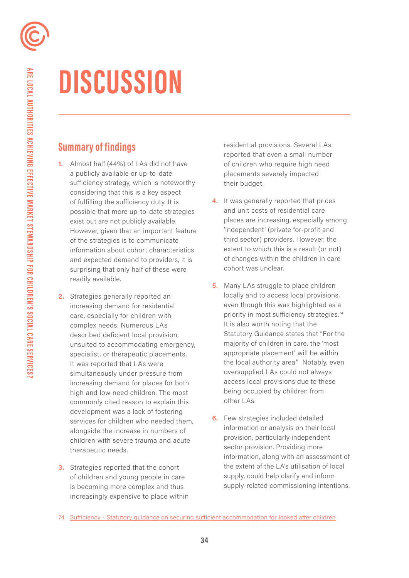# **DISCUSSION**

# **Summary of findings**

- readily available. **1.** Almost half (44%) of LAs did not have a publicly available or up-to-date sufficiency strategy, which is noteworthy considering that this is a key aspect of fulfilling the sufficiency duty. It is possible that more up-to-date strategies exist but are not publicly available. However, given that an important feature of the strategies is to communicate information about cohort characteristics and expected demand to providers, it is surprising that only half of these were
- **2.** Strategies generally reported an increasing demand for residential care, especially for children with complex needs. Numerous LAs described deficient local provision, unsuited to accommodating emergency, specialist, or therapeutic placements. It was reported that LAs were simultaneously under pressure from increasing demand for places for both high and low need children. The most commonly cited reason to explain this development was a lack of fostering services for children who needed them, alongside the increase in numbers of children with severe trauma and acute therapeutic needs.
- **3.** Strategies reported that the cohort of children and young people in care is becoming more complex and thus increasingly expensive to place within

residential provisions. Several LAs reported that even a small number of children who require high need placements severely impacted their budget.

- **4.** It was generally reported that prices and unit costs of residential care places are increasing, especially among 'independent' (private for-profit and third sector) providers. However, the extent to which this is a result (or not) of changes within the children in care cohort was unclear.
- **5.** Many LAs struggle to place children locally and to access local provisions, even though this was highlighted as a priority in most sufficiency strategies.<sup>74</sup> It is also worth noting that the Statutory Guidance states that "For the majority of children in care, the 'most appropriate placement' will be within the local authority area." Notably, even oversupplied LAs could not always access local provisions due to these being occupied by children from other LAs.
- **6.** Few strategies included detailed information or analysis on their local provision, particularly independent sector provision. Providing more information, along with an assessment of the extent of the LA's utilisation of local supply, could help clarify and inform supply-related commissioning intentions.

<sup>74</sup> [Sufficiency - Statutory guidance on securing sufficient accommodation for looked after children](https://assets.publishing.service.gov.uk/government/uploads/system/uploads/attachment_data/file/273812/sufficiency_-_statutory_guidance_on_securing_sufficient_accommodation_for_looked_after_children.pdf)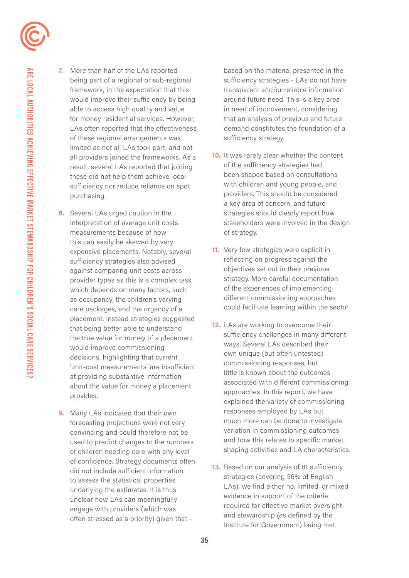

- **8.** Several LAs urged caution in the interpretation of average unit costs measurements because of how this can easily be skewed by very expensive placements. Notably, several sufficiency strategies also advised against comparing unit costs across provider types as this is a complex task which depends on many factors, such as occupancy, the children's varying care packages, and the urgency of a placement. Instead strategies suggested that being better able to understand the true value for money of a placement would improve commissioning decisions, highlighting that current 'unit-cost measurements' are insufficient at providing substantive information about the value for money a placement provides.
- **9.** Many LAs indicated that their own forecasting projections were not very convincing and could therefore not be used to predict changes to the numbers of children needing care with any level of confidence. Strategy documents often did not include sufficient information to assess the statistical properties underlying the estimates. It is thus unclear how LAs can meaningfully engage with providers (which was often stressed as a priority) given that -

based on the material presented in the sufficiency strategies - LAs do not have transparent and/or reliable information around future need. This is a key area in need of improvement, considering that an analysis of previous and future demand constitutes the foundation of a sufficiency strategy.

- **10.** It was rarely clear whether the content of the sufficiency strategies had been shaped based on consultations with children and young people, and providers. This should be considered a key area of concern, and future strategies should clearly report how stakeholders were involved in the design of strategy.
- **11.** Very few strategies were explicit in reflecting on progress against the objectives set out in their previous strategy. More careful documentation of the experiences of implementing diferent commissioning approaches could facilitate learning within the sector.
- **12.** LAs are working to overcome their sufficiency challenges in many different ways. Several LAs described their own unique (but often untested) commissioning responses, but little is known about the outcomes associated with different commissioning approaches. In this report, we have explained the variety of commissioning responses employed by LAs but much more can be done to investigate variation in commissioning outcomes and how this relates to specific market shaping activities and LA characteristics.
- 13. Based on our analysis of 81 sufficiency strategies (covering 56% of English LAs), we find either no, limited, or mixed evidence in support of the criteria required for effective market oversight and stewardship (as defined by the Institute for Government) being met.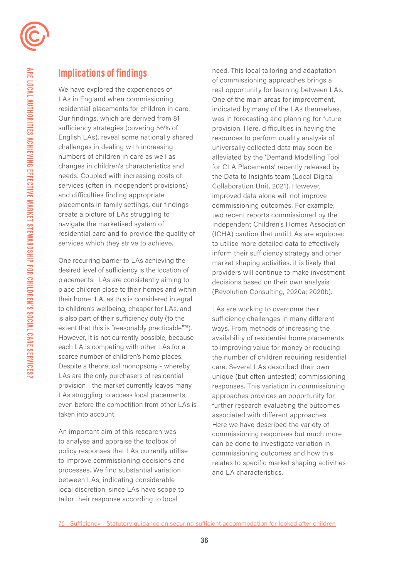

# **Implications of findings**

We have explored the experiences of LAs in England when commissioning residential placements for children in care. Our findings, which are derived from 81 sufficiency strategies (covering 56% of English LAs), reveal some nationally shared challenges in dealing with increasing numbers of children in care as well as changes in children's characteristics and needs. Coupled with increasing costs of services (often in independent provisions) and difficulties finding appropriate placements in family settings, our findings create a picture of LAs struggling to navigate the marketised system of residential care and to provide the quality of services which they strive to achieve.

One recurring barrier to LAs achieving the desired level of suficiency is the location of placements. LAs are consistently aiming to place children close to their homes and within their home LA, as this is considered integral to children's wellbeing, cheaper for LAs, and is also part of their suficiency duty (to the extent that this is "reasonably practicable"75). However, it is not currently possible, because each LA is competing with other LAs for a scarce number of children's home places. Despite a theoretical monopsony - whereby LAs are the only purchasers of residential provision - the market currently leaves many LAs struggling to access local placements, even before the competition from other LAs is taken into account.

An important aim of this research was to analyse and appraise the toolbox of policy responses that LAs currently utilise to improve commissioning decisions and processes. We find substantial variation between LAs, indicating considerable local discretion, since LAs have scope to tailor their response according to local

(Revolution Consulting, 2020a; 2020b). need. This local tailoring and adaptation of commissioning approaches brings a real opportunity for learning between LAs. One of the main areas for improvement, indicated by many of the LAs themselves, was in forecasting and planning for future provision. Here, difficulties in having the resources to perform quality analysis of universally collected data may soon be alleviated by the 'Demand Modelling Tool for CLA Placements' recently released by the Data to Insights team (Local Digital Collaboration Unit, 2021). However, improved data alone will not improve commissioning outcomes. For example, two recent reports commissioned by the Independent Children's Homes Association (ICHA) caution that until LAs are equipped to utilise more detailed data to effectively inform their sufficiency strategy and other market shaping activities, it is likely that providers will continue to make investment decisions based on their own analysis

LAs are working to overcome their sufficiency challenges in many different ways. From methods of increasing the availability of residential home placements to improving value for money or reducing the number of children requiring residential care. Several LAs described their own unique (but often untested) commissioning responses. This variation in commissioning approaches provides an opportunity for further research evaluating the outcomes associated with different approaches. Here we have described the variety of commissioning responses but much more can be done to investigate variation in commissioning outcomes and how this relates to specific market shaping activities and LA characteristics.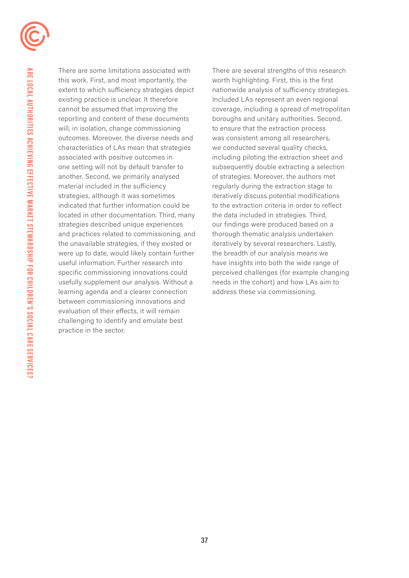

There are some limitations associated with this work. First, and most importantly, the extent to which sufficiency strategies depict existing practice is unclear. It therefore cannot be assumed that improving the reporting and content of these documents will, in isolation, change commissioning outcomes. Moreover, the diverse needs and characteristics of LAs mean that strategies associated with positive outcomes in one setting will not by default transfer to another. Second, we primarily analysed material included in the sufficiency strategies, although it was sometimes indicated that further information could be located in other documentation. Third, many strategies described unique experiences and practices related to commissioning, and the unavailable strategies, if they existed or were up to date, would likely contain further useful information. Further research into specific commissioning innovations could usefully supplement our analysis. Without a learning agenda and a clearer connection between commissioning innovations and evaluation of their effects, it will remain challenging to identify and emulate best practice in the sector.

There are several strengths of this research worth highlighting. First, this is the first nationwide analysis of sufficiency strategies. Included LAs represent an even regional coverage, including a spread of metropolitan boroughs and unitary authorities. Second, to ensure that the extraction process was consistent among all researchers, we conducted several quality checks, including piloting the extraction sheet and subsequently double extracting a selection of strategies. Moreover, the authors met regularly during the extraction stage to iteratively discuss potential modifications to the extraction criteria in order to reflect the data included in strategies. Third, our findings were produced based on a thorough thematic analysis undertaken iteratively by several researchers. Lastly, the breadth of our analysis means we have insights into both the wide range of perceived challenges (for example changing needs in the cohort) and how LAs aim to address these via commissioning.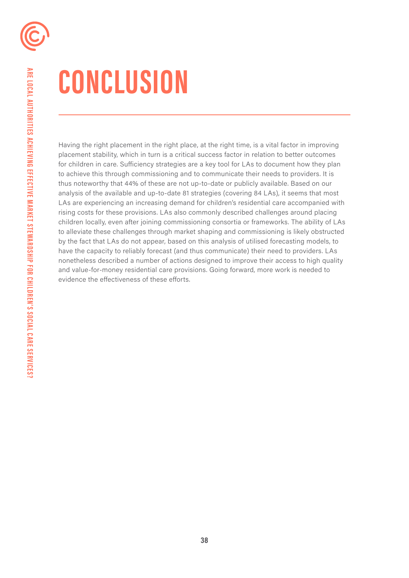# **CONCLUSION**

Having the right placement in the right place, at the right time, is a vital factor in improving placement stability, which in turn is a critical success factor in relation to better outcomes for children in care. Sufficiency strategies are a key tool for LAs to document how they plan to achieve this through commissioning and to communicate their needs to providers. It is thus noteworthy that 44% of these are not up-to-date or publicly available. Based on our analysis of the available and up-to-date 81 strategies (covering 84 LAs), it seems that most LAs are experiencing an increasing demand for children's residential care accompanied with rising costs for these provisions. LAs also commonly described challenges around placing children locally, even after joining commissioning consortia or frameworks. The ability of LAs to alleviate these challenges through market shaping and commissioning is likely obstructed by the fact that LAs do not appear, based on this analysis of utilised forecasting models, to have the capacity to reliably forecast (and thus communicate) their need to providers. LAs nonetheless described a number of actions designed to improve their access to high quality and value-for-money residential care provisions. Going forward, more work is needed to evidence the effectiveness of these efforts.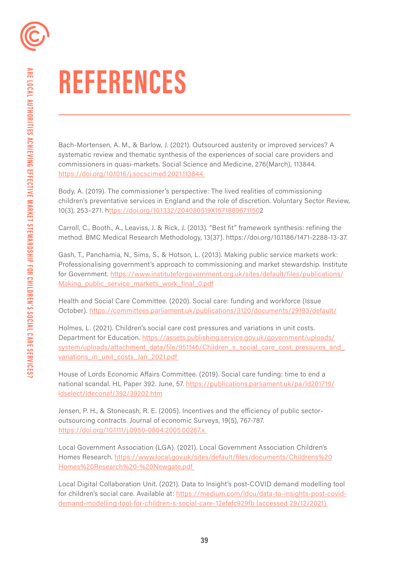# **REFERENCES**

Bach-Mortensen, A. M., & Barlow, J. (2021). Outsourced austerity or improved services? A systematic review and thematic synthesis of the experiences of social care providers and commissioners in quasi-markets. Social Science and Medicine, 276(March), 113844. [https://doi.org/10.1016/j.socscimed.2021.113844](https://doi.org/10.1016/j.socscimed.2021.113844 ) 

Body, A. (2019). The commissioner's perspective: The lived realities of commissioning children's preventative services in England and the role of discretion. Voluntary Sector Review, 10(3), 253–271. h<ttps://doi.org/10.1332/204080519X1571889671150>2

Carroll, C., Booth., A., Leaviss, J. & Rick, J. (2013). "Best fit" framework synthesis: refining the method. BMC Medical Research Methodology, 13(37). [https://doi.org/10.1186/1471-2288-13-37.](https://doi.org/10.1186/1471-2288-13-37)

Gash, T., Panchamia, N., Sims, S., & Hotson, L. (2013). Making public service markets work: Professionalising government's approach to commissioning and market stewardship. Institute for Government. [https://www.instituteforgovernment.org.uk/sites/default/files/publications/](https://www.instituteforgovernment.org.uk/sites/default/files/publications/Making_public_service_mar) Making public service markets work final 0.pdf

Health and Social Care Committee. (2020). Social care: funding and workforce (Issue October). <https://committees.parliament.uk/publications/3120/documents/29193/default/>

Holmes, L. (2021). Children's social care cost pressures and variations in unit costs. Department for Education. [https://assets.publishing.service.gov.uk/government/uploads/](https://assets.publishing.service.gov.uk/government/uploads/system/uploads/attachment_data/file/9511) system/uploads/attachment\_data/file/951146/Children\_s\_social\_care\_cost\_pressures\_and variations in unit costs Jan 2021.pdf

House of Lords Economic Affairs Committee. (2019). Social care funding: time to end a national scandal. HL Paper 392. June, 57. [https://publications.parliament.uk/pa/ld201719/](https://publications.parliament.uk/pa/ld201719/ldselect/ldeconaf/392/39202.htm) [ldselect/ldeconaf/392/39202.htm](https://publications.parliament.uk/pa/ld201719/ldselect/ldeconaf/392/39202.htm)

Jensen, P. H., & Stonecash, R. E. (2005). Incentives and the efficiency of public sectoroutsourcing contracts. Journal of economic Surveys, 19(5), 767-787. [https://doi.org/10.1111/j.0950-0804.2005.00267.x](https://doi.org/10.1111/j.0950-0804.2005.00267.x ) 

Local Government Association (LGA). (2021). Local Government Association Children's Homes Research. [https://www.local.gov.uk/sites/default/files/documents/Childrens%20](https://www.local.gov.uk/sites/default/files/documents/Childrens%20Homes%20Research%20-%20Newgate.pd) [Homes%20Research%20-%20Newgate.pdf](https://www.local.gov.uk/sites/default/files/documents/Childrens%20Homes%20Research%20-%20Newgate.pd) 

Local Digital Collaboration Unit. (2021). Data to Insight's post-COVID demand modelling tool for children's social care. Available at: [https://medium.com/ldcu/data-to-insights-post-covid](https://medium.com/ldcu/data-to-insights-post-covid-demand-modelling-tool-for-children-s-social-care)[demand-modelling-tool-for-children-s-social-care-12efefc929fb \(accessed 29/12/2021\).](https://medium.com/ldcu/data-to-insights-post-covid-demand-modelling-tool-for-children-s-social-care)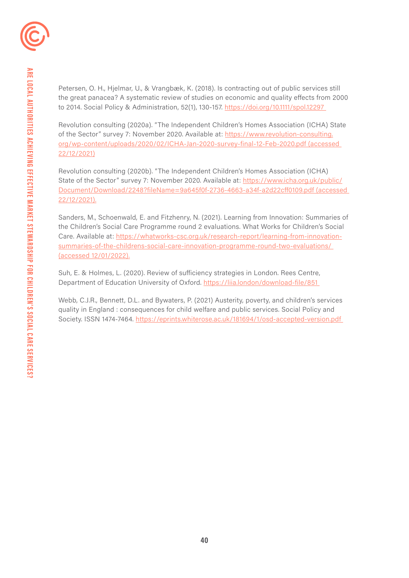Petersen, O. H., Hjelmar, U., & Vrangbæk, K. (2018). Is contracting out of public services still the great panacea? A systematic review of studies on economic and quality effects from 2000 to 2014. Social Policy & Administration, 52(1), 130-157. [https://doi.org/10.1111/spol.12297](https://doi.org/10.1111/spol.12297 ) 

Revolution consulting (2020a). "The Independent Children's Homes Association (ICHA) State of the Sector" survey 7: November 2020. Available at: [https://www.revolution-consulting.](https://www.revolution-consulting.org/wp-content/uploads/2020/02/ICHA-Jan-2020-survey-final-12-Feb-2) [org/wp-content/uploads/2020/02/ICHA-Jan-2020-survey-final-12-Feb-2020.pdf \(accessed](https://www.revolution-consulting.org/wp-content/uploads/2020/02/ICHA-Jan-2020-survey-final-12-Feb-2)  [22/12/2021\)](https://www.revolution-consulting.org/wp-content/uploads/2020/02/ICHA-Jan-2020-survey-final-12-Feb-2) 

Revolution consulting (2020b). "The Independent Children's Homes Association (ICHA) State of the Sector" survey 7: November 2020. Available at: [https://www.icha.org.uk/public/](https://www.icha.org.uk/public/Document/Download/2248?fileName=9a645f0f-2736-4663-a34f-a2d22cff0109.) [Document/Download/2248?fileName=9a645f0f-2736-4663-a34f-a2d22cff0109.pdf \(accessed](https://www.icha.org.uk/public/Document/Download/2248?fileName=9a645f0f-2736-4663-a34f-a2d22cff0109.)  [22/12/2021\).](https://www.icha.org.uk/public/Document/Download/2248?fileName=9a645f0f-2736-4663-a34f-a2d22cff0109.) 

Sanders, M., Schoenwald, E. and Fitzhenry, N. (2021). Learning from Innovation: Summaries of the Children's Social Care Programme round 2 evaluations. What Works for Children's Social Care. Available at: [https://whatworks-csc.org.uk/research-report/learning-from-innovation](https://whatworks-csc.org.uk/research-report/learning-from-innovation-summaries-of-the-childrens-soc)[summaries-of-the-childrens-social-care-innovation-programme-round-two-evaluations/](https://whatworks-csc.org.uk/research-report/learning-from-innovation-summaries-of-the-childrens-soc)  [\(accessed 12/01/2022\).](https://whatworks-csc.org.uk/research-report/learning-from-innovation-summaries-of-the-childrens-soc)

Suh, E. & Holmes, L. (2020). Review of sufficiency strategies in London. Rees Centre, Department of Education University of Oxford. [https://liia.london/download-file/851](https://liia.london/download-file/851 ) 

Webb, C.J.R., Bennett, D.L. and Bywaters, P. (2021) Austerity, poverty, and children's services quality in England : consequences for child welfare and public services. Social Policy and Society. ISSN 1474-7464. [https://eprints.whiterose.ac.uk/181694/1/osd-accepted-version.pdf](https://eprints.whiterose.ac.uk/181694/1/osd-accepted-version.pdf )